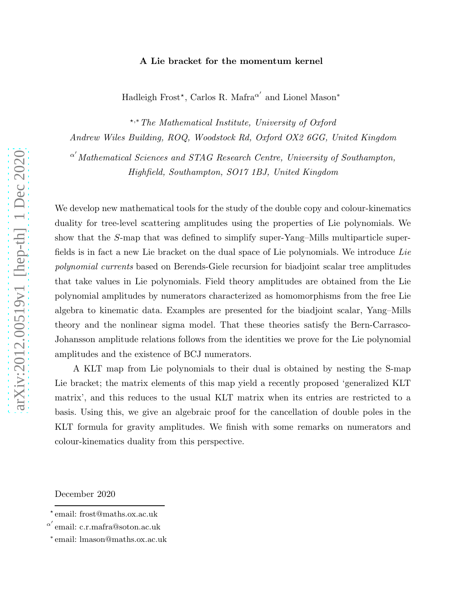# A Lie bracket for the momentum kernel

 $\operatorname{Hadleigh}$  Frost\*, Carlos R. Mafra $^{\alpha'}$  and Lionel Mason\*

⋆,∗The Mathematical Institute, University of Oxford

Andrew Wiles Building, ROQ, Woodstock Rd, Oxford OX2 6GG, United Kingdom

 $\alpha'$ Mathematical Sciences and STAG Research Centre, University of Southampton, Highfield, Southampton, SO17 1BJ, United Kingdom

We develop new mathematical tools for the study of the double copy and colour-kinematics duality for tree-level scattering amplitudes using the properties of Lie polynomials. We show that the S-map that was defined to simplify super-Yang–Mills multiparticle superfields is in fact a new Lie bracket on the dual space of Lie polynomials. We introduce Lie polynomial currents based on Berends-Giele recursion for biadjoint scalar tree amplitudes that take values in Lie polynomials. Field theory amplitudes are obtained from the Lie polynomial amplitudes by numerators characterized as homomorphisms from the free Lie algebra to kinematic data. Examples are presented for the biadjoint scalar, Yang–Mills theory and the nonlinear sigma model. That these theories satisfy the Bern-Carrasco-Johansson amplitude relations follows from the identities we prove for the Lie polynomial amplitudes and the existence of BCJ numerators.

A KLT map from Lie polynomials to their dual is obtained by nesting the S-map Lie bracket; the matrix elements of this map yield a recently proposed 'generalized KLT matrix', and this reduces to the usual KLT matrix when its entries are restricted to a basis. Using this, we give an algebraic proof for the cancellation of double poles in the KLT formula for gravity amplitudes. We finish with some remarks on numerators and colour-kinematics duality from this perspective.

December 2020

<sup>⋆</sup> email: frost@maths.ox.ac.uk

 $^{\alpha'}$ email: c.r.mafra@soton.ac.uk

<sup>∗</sup> email: lmason@maths.ox.ac.uk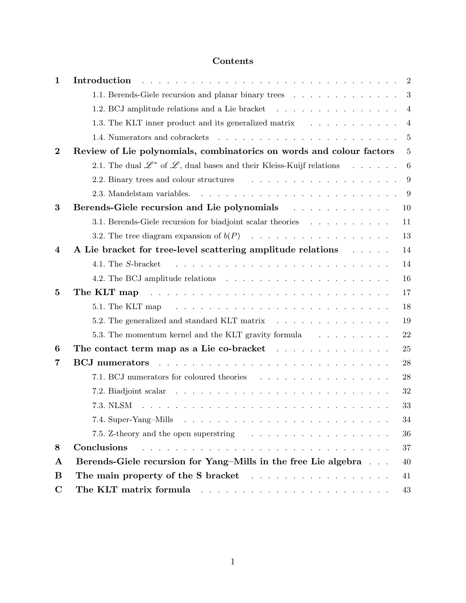# Contents

| 1                | Introduction                                                                                                                                                                                                                   | $\overline{2}$ |
|------------------|--------------------------------------------------------------------------------------------------------------------------------------------------------------------------------------------------------------------------------|----------------|
|                  | 1.1. Berends-Giele recursion and planar binary trees                                                                                                                                                                           | 3              |
|                  | 1.2. BCJ amplitude relations and a Lie bracket                                                                                                                                                                                 | $\overline{4}$ |
|                  | 1.3. The KLT inner product and its generalized matrix                                                                                                                                                                          | $\overline{4}$ |
|                  |                                                                                                                                                                                                                                | 5              |
| $\overline{2}$   | Review of Lie polynomials, combinatorics on words and colour factors                                                                                                                                                           | 5              |
|                  | 2.1. The dual $\mathscr{L}^*$ of $\mathscr{L}$ , dual bases and their Kleiss-Kuijf relations                                                                                                                                   | 6              |
|                  | 2.2. Binary trees and colour structures expansion of the set of the set of the set of the set of the set of the set of the set of the set of the set of the set of the set of the set of the set of the set of the set of the  | 9              |
|                  |                                                                                                                                                                                                                                | 9              |
| 3                |                                                                                                                                                                                                                                | 10             |
|                  | 3.1. Berends-Giele recursion for biadjoint scalar theories                                                                                                                                                                     | 11             |
|                  |                                                                                                                                                                                                                                | 13             |
| $\boldsymbol{4}$ | A Lie bracket for tree-level scattering amplitude relations                                                                                                                                                                    | 14             |
|                  | والمتحاولة والمتحاولة والمتحاولة والمتحاولة والمتحاولة والمتحاولة والمتحاولة<br>4.1. The S-bracket                                                                                                                             | 14             |
|                  |                                                                                                                                                                                                                                | 16             |
| $\mathbf{5}$     | The KLT map received and the contract of the KLT map received and the contract of the KLT map of the contract of the C                                                                                                         | 17             |
|                  | والمتواط والمتواط والمتواط والمتواط والمتواط والمتواط والمتواط والمتواطئ والمتواطئ<br>5.1. The KLT map                                                                                                                         | 18             |
|                  | 5.2. The generalized and standard KLT matrix                                                                                                                                                                                   | 19             |
|                  | 5.3. The momentum kernel and the KLT gravity formula                                                                                                                                                                           | 22             |
| 6                | The contact term map as a Lie co-bracket                                                                                                                                                                                       | 25             |
| 7                | <u>.</u><br>2012 - La característica de la característica de la característica de la característica de la característica d<br><b>BCJ</b> numerators                                                                            | 28             |
|                  |                                                                                                                                                                                                                                | 28             |
|                  |                                                                                                                                                                                                                                | 32             |
|                  | 7.3. NLSM                                                                                                                                                                                                                      | 33             |
|                  |                                                                                                                                                                                                                                | 34             |
|                  |                                                                                                                                                                                                                                | 36             |
| 8                | Conclusions                                                                                                                                                                                                                    | 37             |
| $\mathbf{A}$     | Berends-Giele recursion for Yang-Mills in the free Lie algebra                                                                                                                                                                 | 40             |
| B                |                                                                                                                                                                                                                                | 41             |
| $\mathbf C$      | The KLT matrix formula resonance and the set of the set of the set of the set of the set of the set of the set of the set of the set of the set of the set of the set of the set of the set of the set of the set of the set o | 43             |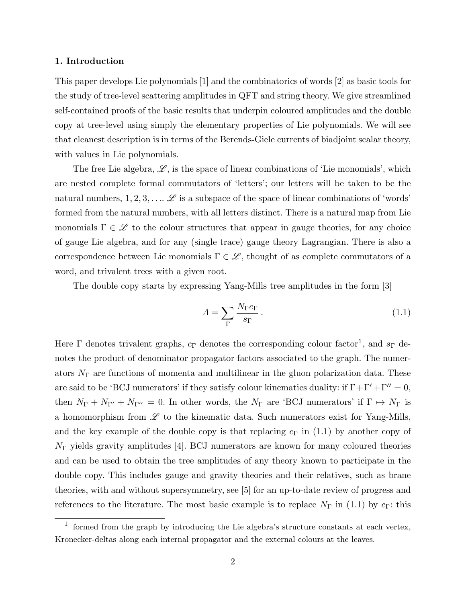## 1. Introduction

This paper develops Lie polynomials [1] and the combinatorics of words [2] as basic tools for the study of tree-level scattering amplitudes in QFT and string theory. We give streamlined self-contained proofs of the basic results that underpin coloured amplitudes and the double copy at tree-level using simply the elementary properties of Lie polynomials. We will see that cleanest description is in terms of the Berends-Giele currents of biadjoint scalar theory, with values in Lie polynomials.

The free Lie algebra,  $\mathscr{L}$ , is the space of linear combinations of 'Lie monomials', which are nested complete formal commutators of 'letters'; our letters will be taken to be the natural numbers,  $1, 2, 3, \ldots \mathscr{L}$  is a subspace of the space of linear combinations of 'words' formed from the natural numbers, with all letters distinct. There is a natural map from Lie monomials  $\Gamma \in \mathscr{L}$  to the colour structures that appear in gauge theories, for any choice of gauge Lie algebra, and for any (single trace) gauge theory Lagrangian. There is also a correspondence between Lie monomials  $\Gamma \in \mathcal{L}$ , thought of as complete commutators of a word, and trivalent trees with a given root.

The double copy starts by expressing Yang-Mills tree amplitudes in the form [3]

$$
A = \sum_{\Gamma} \frac{N_{\Gamma} c_{\Gamma}}{s_{\Gamma}}.
$$
 (1.1)

Here  $\Gamma$  denotes trivalent graphs,  $c_{\Gamma}$  denotes the corresponding colour factor<sup>1</sup>, and  $s_{\Gamma}$  denotes the product of denominator propagator factors associated to the graph. The numerators  $N_{\Gamma}$  are functions of momenta and multilinear in the gluon polarization data. These are said to be 'BCJ numerators' if they satisfy colour kinematics duality: if  $\Gamma + \Gamma' + \Gamma'' = 0$ , then  $N_{\Gamma} + N_{\Gamma'} + N_{\Gamma''} = 0$ . In other words, the  $N_{\Gamma}$  are 'BCJ numerators' if  $\Gamma \mapsto N_{\Gamma}$  is a homomorphism from  $\mathscr L$  to the kinematic data. Such numerators exist for Yang-Mills, and the key example of the double copy is that replacing  $c_{\Gamma}$  in (1.1) by another copy of  $N_{\Gamma}$  yields gravity amplitudes [4]. BCJ numerators are known for many coloured theories and can be used to obtain the tree amplitudes of any theory known to participate in the double copy. This includes gauge and gravity theories and their relatives, such as brane theories, with and without supersymmetry, see [5] for an up-to-date review of progress and references to the literature. The most basic example is to replace  $N_{\Gamma}$  in (1.1) by  $c_{\Gamma}$ : this

<sup>&</sup>lt;sup>1</sup> formed from the graph by introducing the Lie algebra's structure constants at each vertex, Kronecker-deltas along each internal propagator and the external colours at the leaves.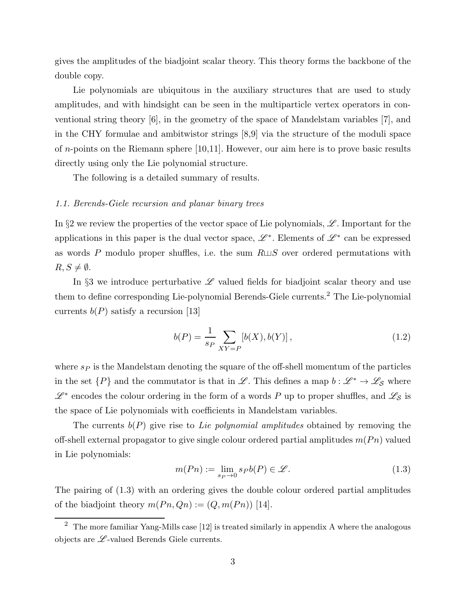gives the amplitudes of the biadjoint scalar theory. This theory forms the backbone of the double copy.

Lie polynomials are ubiquitous in the auxiliary structures that are used to study amplitudes, and with hindsight can be seen in the multiparticle vertex operators in conventional string theory [6], in the geometry of the space of Mandelstam variables [7], and in the CHY formulae and ambitwistor strings [8,9] via the structure of the moduli space of n-points on the Riemann sphere [10,11]. However, our aim here is to prove basic results directly using only the Lie polynomial structure.

The following is a detailed summary of results.

# 1.1. Berends-Giele recursion and planar binary trees

In §2 we review the properties of the vector space of Lie polynomials,  $\mathscr{L}$ . Important for the applications in this paper is the dual vector space,  $\mathscr{L}^*$ . Elements of  $\mathscr{L}^*$  can be expressed as words P modulo proper shuffles, i.e. the sum  $R \sqcup S$  over ordered permutations with  $R, S \neq \emptyset$ .

In §3 we introduce perturbative  $\mathscr L$  valued fields for biadjoint scalar theory and use them to define corresponding Lie-polynomial Berends-Giele currents.<sup>2</sup> The Lie-polynomial currents  $b(P)$  satisfy a recursion [13]

$$
b(P) = \frac{1}{s_P} \sum_{XY = P} [b(X), b(Y)],
$$
\n(1.2)

where  $s_P$  is the Mandelstam denoting the square of the off-shell momentum of the particles in the set  $\{P\}$  and the commutator is that in L. This defines a map  $b: \mathscr{L}^* \to \mathscr{L}_{\mathcal{S}}$  where  $\mathscr{L}^*$  encodes the colour ordering in the form of a words P up to proper shuffles, and  $\mathscr{L}_{\mathcal{S}}$  is the space of Lie polynomials with coefficients in Mandelstam variables.

The currents  $b(P)$  give rise to Lie polynomial amplitudes obtained by removing the off-shell external propagator to give single colour ordered partial amplitudes  $m(Pn)$  valued in Lie polynomials:

$$
m(Pn) := \lim_{s_P \to 0} s_P b(P) \in \mathcal{L}.
$$
\n(1.3)

The pairing of (1.3) with an ordering gives the double colour ordered partial amplitudes of the biadjoint theory  $m(P_n, Q_n) := (Q, m(P_n))$  [14].

 $\overline{2}$  The more familiar Yang-Mills case [12] is treated similarly in appendix A where the analogous objects are  $\mathscr{L}\text{-valued Berends Giele currents.}$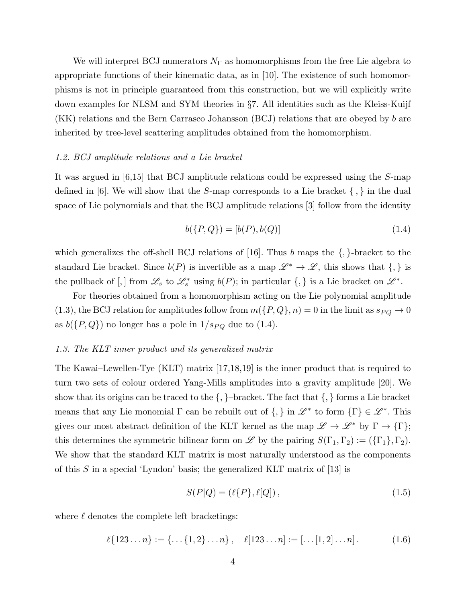We will interpret BCJ numerators  $N_{\Gamma}$  as homomorphisms from the free Lie algebra to appropriate functions of their kinematic data, as in [10]. The existence of such homomorphisms is not in principle guaranteed from this construction, but we will explicitly write down examples for NLSM and SYM theories in §7. All identities such as the Kleiss-Kuijf (KK) relations and the Bern Carrasco Johansson (BCJ) relations that are obeyed by b are inherited by tree-level scattering amplitudes obtained from the homomorphism.

## 1.2. BCJ amplitude relations and a Lie bracket

It was argued in [6,15] that BCJ amplitude relations could be expressed using the S-map defined in [6]. We will show that the  $S$ -map corresponds to a Lie bracket  $\{ , \}$  in the dual space of Lie polynomials and that the BCJ amplitude relations [3] follow from the identity

$$
b({P,Q}) = [b(P), b(Q)] \tag{1.4}
$$

which generalizes the off-shell BCJ relations of [16]. Thus  $b$  maps the  $\{,\}$ -bracket to the standard Lie bracket. Since  $b(P)$  is invertible as a map  $\mathscr{L}^* \to \mathscr{L}$ , this shows that  $\{,\}$  is the pullback of [,] from  $\mathscr{L}_s$  to  $\mathscr{L}_s^*$  using  $b(P)$ ; in particular  $\{,\}$  is a Lie bracket on  $\mathscr{L}^*$ .

For theories obtained from a homomorphism acting on the Lie polynomial amplitude (1.3), the BCJ relation for amplitudes follow from  $m(\lbrace P,Q \rbrace,n) = 0$  in the limit as  $s_{PQ} \rightarrow 0$ as  $b({P,Q})$  no longer has a pole in  $1/s_{PQ}$  due to (1.4).

#### 1.3. The KLT inner product and its generalized matrix

The Kawai–Lewellen-Tye (KLT) matrix [17,18,19] is the inner product that is required to turn two sets of colour ordered Yang-Mills amplitudes into a gravity amplitude [20]. We show that its origins can be traced to the  $\{,\}$ -bracket. The fact that  $\{,\}$  forms a Lie bracket means that any Lie monomial  $\Gamma$  can be rebuilt out of  $\{,\}$  in  $\mathscr{L}^*$  to form  $\{\Gamma\} \in \mathscr{L}^*$ . This gives our most abstract definition of the KLT kernel as the map  $\mathscr{L} \to \mathscr{L}^*$  by  $\Gamma \to \{\Gamma\};$ this determines the symmetric bilinear form on  $\mathscr L$  by the pairing  $S(\Gamma_1, \Gamma_2) := (\{\Gamma_1\}, \Gamma_2)$ . We show that the standard KLT matrix is most naturally understood as the components of this S in a special 'Lyndon' basis; the generalized KLT matrix of  $[13]$  is

$$
S(P|Q) = (\ell{P}, \ell{Q}), \qquad (1.5)
$$

where  $\ell$  denotes the complete left bracketings:

$$
\ell\{123\ldots n\} := \{\ldots \{1, 2\} \ldots n\}, \quad \ell[123\ldots n] := [\ldots [1, 2] \ldots n]. \tag{1.6}
$$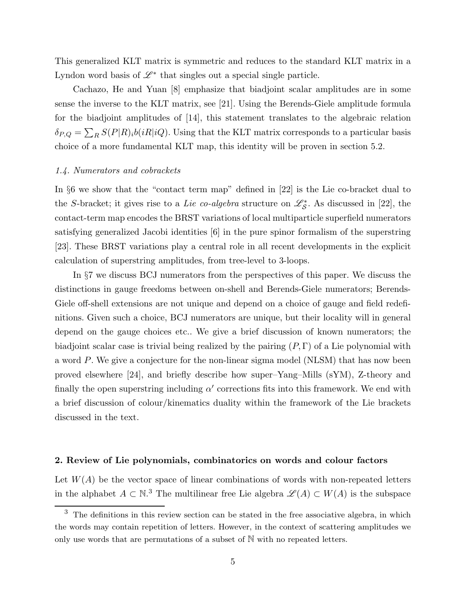This generalized KLT matrix is symmetric and reduces to the standard KLT matrix in a Lyndon word basis of  $\mathscr{L}^*$  that singles out a special single particle.

Cachazo, He and Yuan [8] emphasize that biadjoint scalar amplitudes are in some sense the inverse to the KLT matrix, see [21]. Using the Berends-Giele amplitude formula for the biadjoint amplitudes of [14], this statement translates to the algebraic relation  $\delta_{P,Q} = \sum_R S(P|R)_i b(iR|iQ)$ . Using that the KLT matrix corresponds to a particular basis choice of a more fundamental KLT map, this identity will be proven in section 5.2.

## 1.4. Numerators and cobrackets

In §6 we show that the "contact term map" defined in [22] is the Lie co-bracket dual to the S-bracket; it gives rise to a Lie co-algebra structure on  $\mathscr{L}_{\mathcal{S}}^*$ . As discussed in [22], the contact-term map encodes the BRST variations of local multiparticle superfield numerators satisfying generalized Jacobi identities [6] in the pure spinor formalism of the superstring [23]. These BRST variations play a central role in all recent developments in the explicit calculation of superstring amplitudes, from tree-level to 3-loops.

In §7 we discuss BCJ numerators from the perspectives of this paper. We discuss the distinctions in gauge freedoms between on-shell and Berends-Giele numerators; Berends-Giele off-shell extensions are not unique and depend on a choice of gauge and field redefinitions. Given such a choice, BCJ numerators are unique, but their locality will in general depend on the gauge choices etc.. We give a brief discussion of known numerators; the biadjoint scalar case is trivial being realized by the pairing  $(P, \Gamma)$  of a Lie polynomial with a word P. We give a conjecture for the non-linear sigma model (NLSM) that has now been proved elsewhere [24], and briefly describe how super–Yang–Mills (sYM), Z-theory and finally the open superstring including  $\alpha'$  corrections fits into this framework. We end with a brief discussion of colour/kinematics duality within the framework of the Lie brackets discussed in the text.

#### 2. Review of Lie polynomials, combinatorics on words and colour factors

Let  $W(A)$  be the vector space of linear combinations of words with non-repeated letters in the alphabet  $A \subset \mathbb{N}^3$ . The multilinear free Lie algebra  $\mathscr{L}(A) \subset W(A)$  is the subspace

<sup>&</sup>lt;sup>3</sup> The definitions in this review section can be stated in the free associative algebra, in which the words may contain repetition of letters. However, in the context of scattering amplitudes we only use words that are permutations of a subset of N with no repeated letters.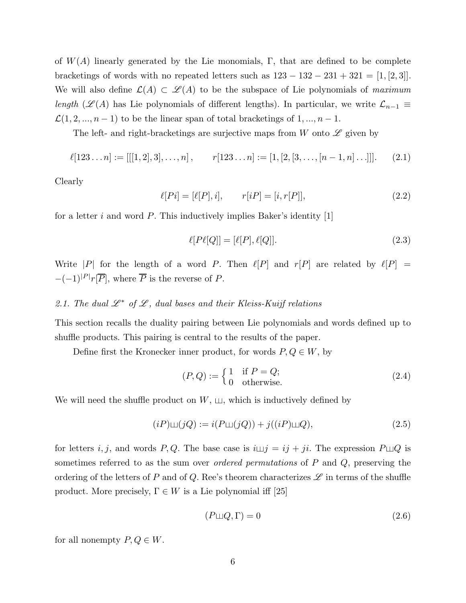of  $W(A)$  linearly generated by the Lie monomials, Γ, that are defined to be complete bracketings of words with no repeated letters such as  $123 - 132 - 231 + 321 = [1, [2, 3]]$ . We will also define  $\mathcal{L}(A) \subset \mathcal{L}(A)$  to be the subspace of Lie polynomials of maximum length ( $\mathscr{L}(A)$  has Lie polynomials of different lengths). In particular, we write  $\mathcal{L}_{n-1} \equiv$  $\mathcal{L}(1, 2, ..., n-1)$  to be the linear span of total bracketings of  $1, ..., n-1$ .

The left- and right-bracketings are surjective maps from W onto  $\mathscr L$  given by

$$
\ell[123\ldots n] := [[[1,2],3],\ldots,n], \qquad r[123\ldots n] := [1,[2,[3,\ldots,[n-1,n]\ldots]]]. \qquad (2.1)
$$

Clearly

$$
\ell[Pi] = [\ell[P], i], \qquad r[i] = [i, r[P]], \tag{2.2}
$$

for a letter i and word  $P$ . This inductively implies Baker's identity [1]

$$
\ell[P\ell[Q]] = [\ell[P], \ell[Q]]. \tag{2.3}
$$

Write |P| for the length of a word P. Then  $\ell[P]$  and  $r[P]$  are related by  $\ell[P]$  =  $-(-1)^{|P|}r[\overline{P}],$  where  $\overline{P}$  is the reverse of P.

# 2.1. The dual  $\mathcal{L}^*$  of  $\mathcal{L}$ , dual bases and their Kleiss-Kuijf relations

This section recalls the duality pairing between Lie polynomials and words defined up to shuffle products. This pairing is central to the results of the paper.

Define first the Kronecker inner product, for words  $P, Q \in W$ , by

$$
(P,Q) := \begin{cases} 1 & \text{if } P = Q; \\ 0 & \text{otherwise.} \end{cases}
$$
 (2.4)

We will need the shuffle product on  $W$ ,  $\sqcup$ , which is inductively defined by

$$
(iP)\sqcup (jQ) := i(P\sqcup (jQ)) + j((iP)\sqcup Q),\tag{2.5}
$$

for letters i, j, and words P, Q. The base case is  $i \sqcup j = ij + ji$ . The expression  $P \sqcup Q$  is sometimes referred to as the sum over *ordered permutations* of P and Q, preserving the ordering of the letters of P and of Q. Ree's theorem characterizes  $\mathscr L$  in terms of the shuffle product. More precisely,  $\Gamma \in W$  is a Lie polynomial iff [25]

$$
(P \sqcup Q, \Gamma) = 0 \tag{2.6}
$$

for all nonempty  $P, Q \in W$ .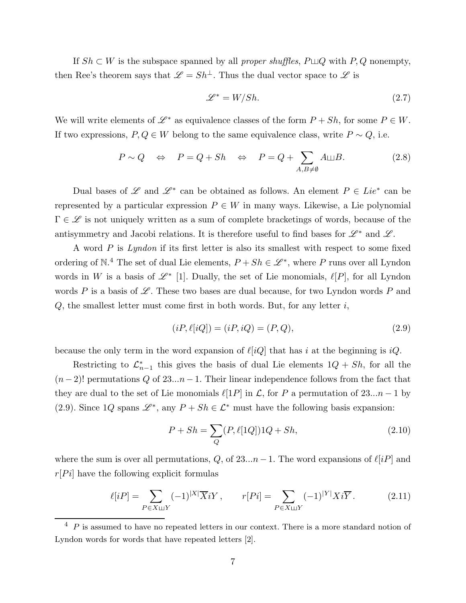If  $Sh \subset W$  is the subspace spanned by all *proper shuffles*,  $P \sqcup Q$  with  $P, Q$  nonempty, then Ree's theorem says that  $\mathscr{L} = Sh^{\perp}$ . Thus the dual vector space to  $\mathscr{L}$  is

$$
\mathcal{L}^* = W / Sh. \tag{2.7}
$$

We will write elements of  $\mathscr{L}^*$  as equivalence classes of the form  $P + Sh$ , for some  $P \in W$ . If two expressions,  $P, Q \in W$  belong to the same equivalence class, write  $P \sim Q$ , i.e.

$$
P \sim Q \quad \Leftrightarrow \quad P = Q + Sh \quad \Leftrightarrow \quad P = Q + \sum_{A,B \neq \emptyset} A \sqcup B. \tag{2.8}
$$

Dual bases of L and L<sup>\*</sup> can be obtained as follows. An element  $P \in Lie^*$  can be represented by a particular expression  $P \in W$  in many ways. Likewise, a Lie polynomial  $\Gamma \in \mathscr{L}$  is not uniquely written as a sum of complete bracketings of words, because of the antisymmetry and Jacobi relations. It is therefore useful to find bases for  $\mathscr{L}^*$  and  $\mathscr{L}$ .

A word  $P$  is Lyndon if its first letter is also its smallest with respect to some fixed ordering of N.<sup>4</sup> The set of dual Lie elements,  $P + Sh \in \mathcal{L}^*$ , where P runs over all Lyndon words in W is a basis of  $\mathscr{L}^*$  [1]. Dually, the set of Lie monomials,  $\ell[P]$ , for all Lyndon words P is a basis of  $\mathscr{L}$ . These two bases are dual because, for two Lyndon words P and  $Q$ , the smallest letter must come first in both words. But, for any letter  $i$ ,

$$
(iP, \ell[iQ]) = (iP, iQ) = (P, Q), \tag{2.9}
$$

because the only term in the word expansion of  $\ell[iQ]$  that has i at the beginning is  $iQ$ .

Restricting to  $\mathcal{L}_{n-1}^*$  this gives the basis of dual Lie elements  $1Q + Sh$ , for all the  $(n-2)!$  permutations Q of 23... $n-1$ . Their linear independence follows from the fact that they are dual to the set of Lie monomials  $\ell[1P]$  in  $\mathcal{L}$ , for P a permutation of 23...n – 1 by (2.9). Since  $1Q$  spans  $\mathscr{L}^*$ , any  $P + Sh \in \mathscr{L}^*$  must have the following basis expansion:

$$
P + Sh = \sum_{Q} (P, \ell[1Q])1Q + Sh,
$$
\n(2.10)

where the sum is over all permutations, Q, of  $23...n-1$ . The word expansions of  $\ell[i]$  and  $r[P_i]$  have the following explicit formulas

$$
\ell[i] = \sum_{P \in X \sqcup Y} (-1)^{|X|} \overline{X} iY, \qquad r[Pi] = \sum_{P \in X \sqcup Y} (-1)^{|Y|} X i\overline{Y}.
$$
 (2.11)

 $4$  P is assumed to have no repeated letters in our context. There is a more standard notion of Lyndon words for words that have repeated letters [2].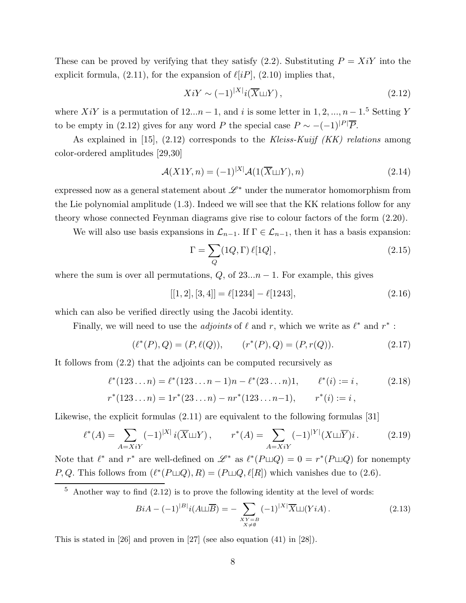These can be proved by verifying that they satisfy  $(2.2)$ . Substituting  $P = X_iY$  into the explicit formula,  $(2.11)$ , for the expansion of  $\ell[iP]$ ,  $(2.10)$  implies that,

$$
Xi' \sim (-1)^{|X|} i(\overline{X} \sqcup Y), \tag{2.12}
$$

where  $Xi'Y$  is a permutation of  $12...n-1$ , and i is some letter in  $1, 2, ..., n-1$ .<sup>5</sup> Setting Y to be empty in (2.12) gives for any word P the special case  $P \sim -(-1)^{|P|} \overline{P}$ .

As explained in [15],  $(2.12)$  corresponds to the Kleiss-Kuif (KK) relations among color-ordered amplitudes [29,30]

$$
\mathcal{A}(X1Y,n) = (-1)^{|X|} \mathcal{A}(1(\overline{X} \sqcup Y),n)
$$
\n(2.14)

expressed now as a general statement about  $\mathscr{L}^*$  under the numerator homomorphism from the Lie polynomial amplitude (1.3). Indeed we will see that the KK relations follow for any theory whose connected Feynman diagrams give rise to colour factors of the form (2.20).

We will also use basis expansions in  $\mathcal{L}_{n-1}$ . If  $\Gamma \in \mathcal{L}_{n-1}$ , then it has a basis expansion:

$$
\Gamma = \sum_{Q} (1Q, \Gamma) \,\ell [1Q],\tag{2.15}
$$

where the sum is over all permutations,  $Q$ , of  $23...n - 1$ . For example, this gives

$$
[[1,2],[3,4]] = \ell[1234] - \ell[1243], \qquad (2.16)
$$

which can also be verified directly using the Jacobi identity.

Finally, we will need to use the *adjoints* of  $\ell$  and r, which we write as  $\ell^*$  and  $r^*$ :

$$
(\ell^*(P), Q) = (P, \ell(Q)), \qquad (r^*(P), Q) = (P, r(Q)). \tag{2.17}
$$

It follows from (2.2) that the adjoints can be computed recursively as

$$
\ell^*(123...n) = \ell^*(123...n-1)n - \ell^*(23...n)1, \qquad \ell^*(i) := i,
$$
  
\n
$$
r^*(123...n) = 1 r^*(23...n) - n r^*(123...n-1), \qquad r^*(i) := i,
$$
  
\n(2.18)

Likewise, the explicit formulas (2.11) are equivalent to the following formulas [31]

$$
\ell^*(A) = \sum_{A=XiY} (-1)^{|X|} i(\overline{X} \sqcup Y), \qquad r^*(A) = \sum_{A=XiY} (-1)^{|Y|} (X \sqcup \overline{Y}) i. \tag{2.19}
$$

Note that  $\ell^*$  and  $r^*$  are well-defined on  $\mathscr{L}^*$  as  $\ell^*(P \sqcup Q) = 0 = r^*(P \sqcup Q)$  for nonempty P, Q. This follows from  $(\ell^*(P \sqcup Q), R) = (P \sqcup Q, \ell[R])$  which vanishes due to (2.6).

$$
BiA - (-1)^{|B|}i(A \sqcup \overline{B}) = -\sum_{\substack{XY = B \\ X \neq \emptyset}} (-1)^{|X|} \overline{X} \sqcup (YiA). \tag{2.13}
$$

This is stated in [26] and proven in [27] (see also equation (41) in [28]).

 $5$  Another way to find  $(2.12)$  is to prove the following identity at the level of words: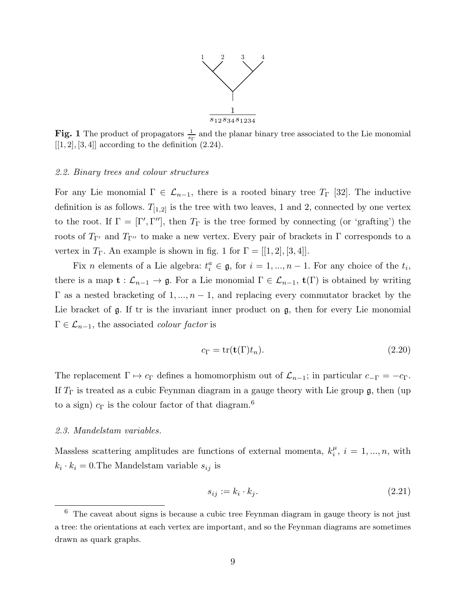

**Fig. 1** The product of propagators  $\frac{1}{s_{\Gamma}}$  and the planar binary tree associated to the Lie monomial  $[[1, 2], [3, 4]]$  according to the definition  $(2.24)$ .

#### 2.2. Binary trees and colour structures

For any Lie monomial  $\Gamma \in \mathcal{L}_{n-1}$ , there is a rooted binary tree  $T_{\Gamma}$  [32]. The inductive definition is as follows.  $T_{[1,2]}$  is the tree with two leaves, 1 and 2, connected by one vertex to the root. If  $\Gamma = [\Gamma', \Gamma'']$ , then  $T_{\Gamma}$  is the tree formed by connecting (or 'grafting') the roots of  $T_{\Gamma'}$  and  $T_{\Gamma''}$  to make a new vertex. Every pair of brackets in  $\Gamma$  corresponds to a vertex in  $T_{\Gamma}$ . An example is shown in fig. 1 for  $\Gamma = [[1, 2], [3, 4]].$ 

Fix *n* elements of a Lie algebra:  $t_i^a \in \mathfrak{g}$ , for  $i = 1, ..., n - 1$ . For any choice of the  $t_i$ , there is a map  $\mathbf{t} : \mathcal{L}_{n-1} \to \mathfrak{g}$ . For a Lie monomial  $\Gamma \in \mathcal{L}_{n-1}$ ,  $\mathbf{t}(\Gamma)$  is obtained by writing  $\Gamma$  as a nested bracketing of 1, ...,  $n-1$ , and replacing every commutator bracket by the Lie bracket of  $\mathfrak g$ . If tr is the invariant inner product on  $\mathfrak g$ , then for every Lie monomial  $\Gamma \in \mathcal{L}_{n-1}$ , the associated *colour factor* is

$$
c_{\Gamma} = \text{tr}(\mathbf{t}(\Gamma)t_n). \tag{2.20}
$$

The replacement  $\Gamma \mapsto c_{\Gamma}$  defines a homomorphism out of  $\mathcal{L}_{n-1}$ ; in particular  $c_{-\Gamma} = -c_{\Gamma}$ . If  $T_{\Gamma}$  is treated as a cubic Feynman diagram in a gauge theory with Lie group  $\mathfrak{g}$ , then (up to a sign)  $c_{\Gamma}$  is the colour factor of that diagram.<sup>6</sup>

# 2.3. Mandelstam variables.

Massless scattering amplitudes are functions of external momenta,  $k_i^{\mu}$  $i_{i}^{\mu}, i = 1, ..., n$ , with  $k_i \cdot k_i = 0$ . The Mandelstam variable  $s_{ij}$  is

$$
s_{ij} := k_i \cdot k_j. \tag{2.21}
$$

 $6$  The caveat about signs is because a cubic tree Feynman diagram in gauge theory is not just a tree: the orientations at each vertex are important, and so the Feynman diagrams are sometimes drawn as quark graphs.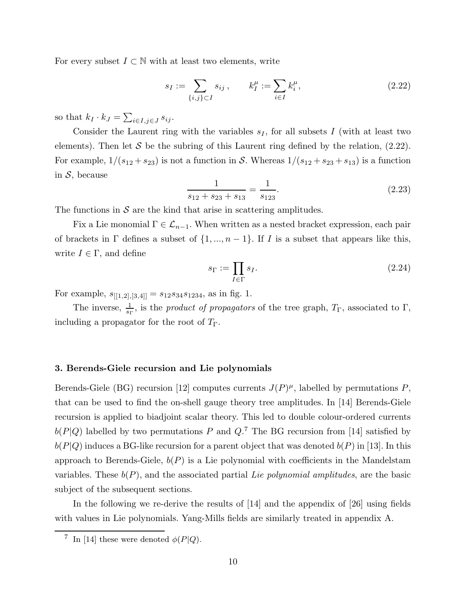For every subset  $I \subset \mathbb{N}$  with at least two elements, write

$$
s_I := \sum_{\{i,j\} \subset I} s_{ij}, \qquad k_I^{\mu} := \sum_{i \in I} k_i^{\mu}, \tag{2.22}
$$

so that  $k_I \cdot k_J = \sum_{i \in I, j \in J} s_{ij}$ .

Consider the Laurent ring with the variables  $s_I$ , for all subsets I (with at least two elements). Then let S be the subring of this Laurent ring defined by the relation,  $(2.22)$ . For example,  $1/(s_{12} + s_{23})$  is not a function in S. Whereas  $1/(s_{12} + s_{23} + s_{13})$  is a function in  $S$ , because

$$
\frac{1}{s_{12} + s_{23} + s_{13}} = \frac{1}{s_{123}}.\tag{2.23}
$$

The functions in  $S$  are the kind that arise in scattering amplitudes.

Fix a Lie monomial  $\Gamma \in \mathcal{L}_{n-1}$ . When written as a nested bracket expression, each pair of brackets in  $\Gamma$  defines a subset of  $\{1, ..., n-1\}$ . If I is a subset that appears like this, write  $I \in \Gamma$ , and define

$$
s_{\Gamma} := \prod_{I \in \Gamma} s_I. \tag{2.24}
$$

For example,  $s_{[[1,2],[3,4]]} = s_{12}s_{34}s_{1234}$ , as in fig. 1.

The inverse,  $\frac{1}{s_{\Gamma}}$ , is the *product of propagators* of the tree graph,  $T_{\Gamma}$ , associated to  $\Gamma$ , including a propagator for the root of  $T_{\Gamma}$ .

# 3. Berends-Giele recursion and Lie polynomials

Berends-Giele (BG) recursion [12] computes currents  $J(P)^{\mu}$ , labelled by permutations P, that can be used to find the on-shell gauge theory tree amplitudes. In [14] Berends-Giele recursion is applied to biadjoint scalar theory. This led to double colour-ordered currents  $b(P|Q)$  labelled by two permutations P and  $Q$ <sup>7</sup>. The BG recursion from [14] satisfied by  $b(P|Q)$  induces a BG-like recursion for a parent object that was denoted  $b(P)$  in [13]. In this approach to Berends-Giele,  $b(P)$  is a Lie polynomial with coefficients in the Mandelstam variables. These  $b(P)$ , and the associated partial Lie polynomial amplitudes, are the basic subject of the subsequent sections.

In the following we re-derive the results of [14] and the appendix of [26] using fields with values in Lie polynomials. Yang-Mills fields are similarly treated in appendix A.

<sup>&</sup>lt;sup>7</sup> In [14] these were denoted  $\phi(P|Q)$ .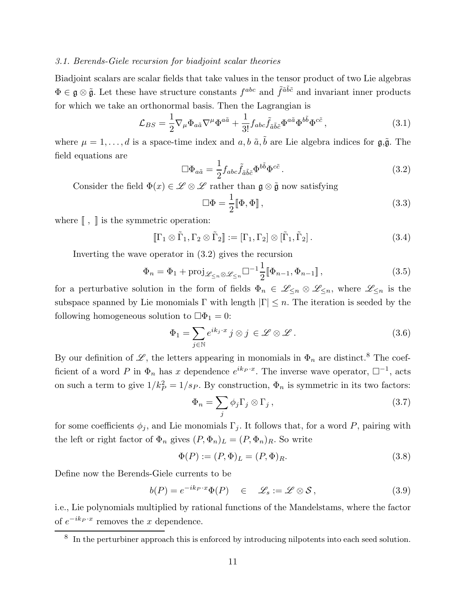## 3.1. Berends-Giele recursion for biadjoint scalar theories

Biadjoint scalars are scalar fields that take values in the tensor product of two Lie algebras  $\Phi \in \mathfrak{g} \otimes \tilde{\mathfrak{g}}$ . Let these have structure constants  $f^{abc}$  and  $\tilde{f}^{\tilde{a}\tilde{b}\tilde{c}}$  and invariant inner products for which we take an orthonormal basis. Then the Lagrangian is

$$
\mathcal{L}_{BS} = \frac{1}{2} \nabla_{\mu} \Phi_{a\tilde{a}} \nabla^{\mu} \Phi^{a\tilde{a}} + \frac{1}{3!} f_{abc} \tilde{f}_{\tilde{a}\tilde{b}\tilde{c}} \Phi^{a\tilde{a}} \Phi^{b\tilde{b}} \Phi^{c\tilde{c}}, \qquad (3.1)
$$

where  $\mu = 1, \ldots, d$  is a space-time index and  $a, b \tilde{a}, \tilde{b}$  are Lie algebra indices for  $\mathfrak{g}, \tilde{\mathfrak{g}}$ . The field equations are

$$
\Box \Phi_{a\tilde{a}} = \frac{1}{2} f_{abc} \tilde{f}_{\tilde{a}\tilde{b}\tilde{c}} \Phi^{b\tilde{b}} \Phi^{c\tilde{c}}.
$$
\n(3.2)

Consider the field  $\Phi(x) \in \mathscr{L} \otimes \mathscr{L}$  rather than  $\mathfrak{g} \otimes \tilde{\mathfrak{g}}$  now satisfying

$$
\Box \Phi = \frac{1}{2} [\![ \Phi, \Phi ]\!], \tag{3.3}
$$

where  $[\![\, ,\, ]\!]$  is the symmetric operation:

$$
[\![\Gamma_1 \otimes \tilde{\Gamma}_1, \Gamma_2 \otimes \tilde{\Gamma}_2]\!] := [\Gamma_1, \Gamma_2] \otimes [\tilde{\Gamma}_1, \tilde{\Gamma}_2]. \tag{3.4}
$$

Inverting the wave operator in (3.2) gives the recursion

$$
\Phi_n = \Phi_1 + \text{proj}_{\mathscr{L}_{\leq n} \otimes \mathscr{L}_{\leq n}} \Box^{-1} \frac{1}{2} [\![\Phi_{n-1}, \Phi_{n-1}]\!],\tag{3.5}
$$

for a perturbative solution in the form of fields  $\Phi_n \in \mathscr{L}_{\leq n} \otimes \mathscr{L}_{\leq n}$ , where  $\mathscr{L}_{\leq n}$  is the subspace spanned by Lie monomials  $\Gamma$  with length  $|\Gamma| \leq n$ . The iteration is seeded by the following homogeneous solution to  $\Box \Phi_1 = 0$ :

$$
\Phi_1 = \sum_{j \in \mathbb{N}} e^{ik_j \cdot x} \, j \otimes j \in \mathscr{L} \otimes \mathscr{L} \,.
$$
 (3.6)

By our definition of  $\mathscr{L}$ , the letters appearing in monomials in  $\Phi_n$  are distinct.<sup>8</sup> The coefficient of a word P in  $\Phi_n$  has x dependence  $e^{ik_P \cdot x}$ . The inverse wave operator,  $\Box^{-1}$ , acts on such a term to give  $1/k_P^2 = 1/s_P$ . By construction,  $\Phi_n$  is symmetric in its two factors:

$$
\Phi_n = \sum_j \phi_j \Gamma_j \otimes \Gamma_j , \qquad (3.7)
$$

for some coefficients  $\phi_j$ , and Lie monomials  $\Gamma_j$ . It follows that, for a word P, pairing with the left or right factor of  $\Phi_n$  gives  $(P, \Phi_n)_L = (P, \Phi_n)_R$ . So write

$$
\Phi(P) := (P, \Phi)_L = (P, \Phi)_R. \tag{3.8}
$$

Define now the Berends-Giele currents to be

$$
b(P) = e^{-ik_P \cdot x} \Phi(P) \quad \in \quad \mathscr{L}_s := \mathscr{L} \otimes \mathscr{S}, \tag{3.9}
$$

i.e., Lie polynomials multiplied by rational functions of the Mandelstams, where the factor of  $e^{-ik_P \cdot x}$  removes the x dependence.

<sup>&</sup>lt;sup>8</sup> In the perturbiner approach this is enforced by introducing nilpotents into each seed solution.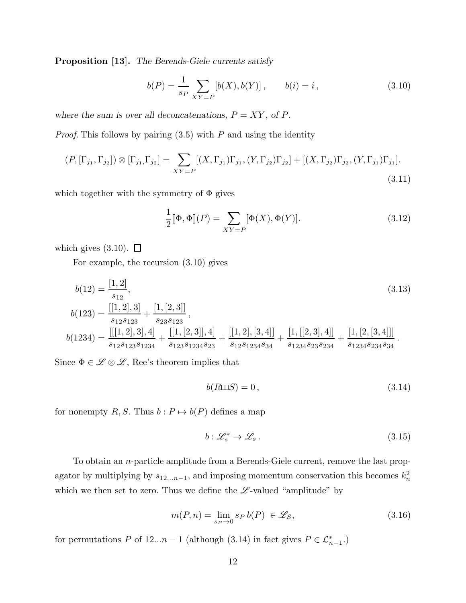Proposition [13]. The Berends-Giele currents satisfy

$$
b(P) = \frac{1}{s_P} \sum_{XY = P} [b(X), b(Y)], \qquad b(i) = i,
$$
\n(3.10)

where the sum is over all deconcatenations,  $P = XY,$  of  $P.$ 

*Proof.* This follows by pairing  $(3.5)$  with P and using the identity

$$
(P, [\Gamma_{j_1}, \Gamma_{j_2}]) \otimes [\Gamma_{j_1}, \Gamma_{j_2}] = \sum_{XY = P} [(X, \Gamma_{j_1}) \Gamma_{j_1}, (Y, \Gamma_{j_2}) \Gamma_{j_2}] + [(X, \Gamma_{j_2}) \Gamma_{j_2}, (Y, \Gamma_{j_1}) \Gamma_{j_1}].
$$
\n(3.11)

which together with the symmetry of  $\Phi$  gives

$$
\frac{1}{2}[\![\Phi,\Phi]\!](P) = \sum_{XY=P}[\Phi(X),\Phi(Y)].\tag{3.12}
$$

which gives  $(3.10)$ .  $\Box$ 

For example, the recursion (3.10) gives

$$
b(12) = \frac{[1, 2]}{s_{12}},
$$
\n
$$
b(123) = \frac{[[1, 2], 3]}{s_{12}s_{123}} + \frac{[1, [2, 3]]}{s_{23}s_{123}},
$$
\n
$$
b(1234) = \frac{[[[1, 2], 3], 4]}{s_{12}s_{123}s_{1234}} + \frac{[[1, [2, 3]], 4]}{s_{123}s_{1234}s_{23}} + \frac{[[1, 2], [3, 4]]}{s_{12}s_{1234}s_{234}s_{1234}} + \frac{[1, [2, [3, 4]]]}{s_{1234}s_{23}s_{234}}.
$$
\n
$$
(3.13)
$$
\n
$$
(3.14)
$$

Since  $\Phi \in \mathscr{L} \otimes \mathscr{L}$ , Ree's theorem implies that

$$
b(R \sqcup S) = 0, \tag{3.14}
$$

for nonempty R, S. Thus  $b : P \mapsto b(P)$  defines a map

$$
b: \mathscr{L}_s^* \to \mathscr{L}_s. \tag{3.15}
$$

To obtain an n-particle amplitude from a Berends-Giele current, remove the last propagator by multiplying by  $s_{12...n-1}$ , and imposing momentum conservation this becomes  $k_n^2$ which we then set to zero. Thus we define the  $\mathscr{L}\text{-valued}$  "amplitude" by

$$
m(P,n) = \lim_{s_P \to 0} s_P b(P) \in \mathcal{L}_\mathcal{S},\tag{3.16}
$$

for permutations P of  $12...n-1$  (although (3.14) in fact gives  $P \in \mathcal{L}_{n-1}^*$ .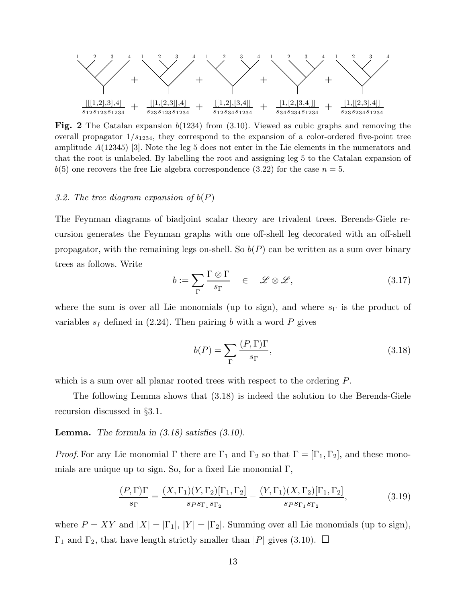

Fig. 2 The Catalan expansion  $b(1234)$  from  $(3.10)$ . Viewed as cubic graphs and removing the overall propagator  $1/s_{1234}$ , they correspond to the expansion of a color-ordered five-point tree amplitude A(12345) [3]. Note the leg 5 does not enter in the Lie elements in the numerators and that the root is unlabeled. By labelling the root and assigning leg 5 to the Catalan expansion of  $b(5)$  one recovers the free Lie algebra correspondence (3.22) for the case  $n = 5$ .

#### 3.2. The tree diagram expansion of  $b(P)$

The Feynman diagrams of biadjoint scalar theory are trivalent trees. Berends-Giele recursion generates the Feynman graphs with one off-shell leg decorated with an off-shell propagator, with the remaining legs on-shell. So  $b(P)$  can be written as a sum over binary trees as follows. Write

$$
b := \sum_{\Gamma} \frac{\Gamma \otimes \Gamma}{s_{\Gamma}} \quad \in \quad \mathscr{L} \otimes \mathscr{L}, \tag{3.17}
$$

where the sum is over all Lie monomials (up to sign), and where  $s_{\Gamma}$  is the product of variables  $s_I$  defined in (2.24). Then pairing b with a word P gives

$$
b(P) = \sum_{\Gamma} \frac{(P, \Gamma)\Gamma}{s_{\Gamma}},\tag{3.18}
$$

which is a sum over all planar rooted trees with respect to the ordering  $P$ .

The following Lemma shows that (3.18) is indeed the solution to the Berends-Giele recursion discussed in §3.1.

## **Lemma.** The formula in  $(3.18)$  satisfies  $(3.10)$ .

*Proof.* For any Lie monomial  $\Gamma$  there are  $\Gamma_1$  and  $\Gamma_2$  so that  $\Gamma = [\Gamma_1, \Gamma_2]$ , and these monomials are unique up to sign. So, for a fixed Lie monomial  $\Gamma$ ,

$$
\frac{(P,\Gamma)\Gamma}{s_{\Gamma}} = \frac{(X,\Gamma_1)(Y,\Gamma_2)[\Gamma_1,\Gamma_2]}{s_{PS\Gamma_1}s_{\Gamma_2}} - \frac{(Y,\Gamma_1)(X,\Gamma_2)[\Gamma_1,\Gamma_2]}{s_{PS\Gamma_1}s_{\Gamma_2}},\tag{3.19}
$$

where  $P = XY$  and  $|X| = |\Gamma_1|, |Y| = |\Gamma_2|$ . Summing over all Lie monomials (up to sign),  $\Gamma_1$  and  $\Gamma_2$ , that have length strictly smaller than |P| gives (3.10).  $\Box$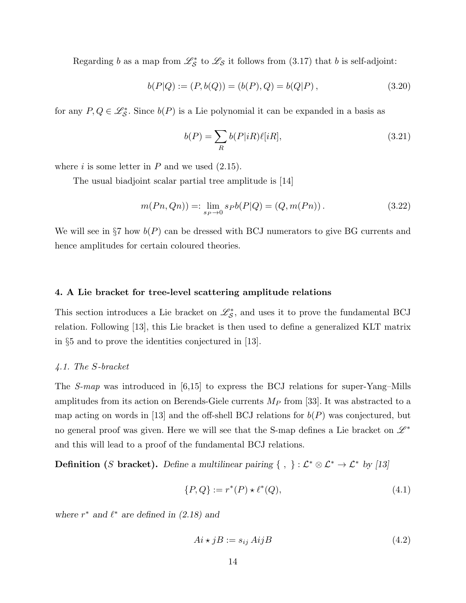Regarding b as a map from  $\mathcal{L}_{S}^{*}$  to  $\mathcal{L}_{S}$  it follows from (3.17) that b is self-adjoint:

$$
b(P|Q) := (P, b(Q)) = (b(P), Q) = b(Q|P), \qquad (3.20)
$$

for any  $P, Q \in \mathcal{L}_{\mathcal{S}}^*$ . Since  $b(P)$  is a Lie polynomial it can be expanded in a basis as

$$
b(P) = \sum_{R} b(P|iR)\ell[iR],\tag{3.21}
$$

where  $i$  is some letter in  $P$  and we used  $(2.15)$ .

The usual biadjoint scalar partial tree amplitude is [14]

$$
m(Pn, Qn)) =: \lim_{s_P \to 0} s_P b(P|Q) = (Q, m(Pn)).
$$
\n(3.22)

We will see in §7 how  $b(P)$  can be dressed with BCJ numerators to give BG currents and hence amplitudes for certain coloured theories.

## 4. A Lie bracket for tree-level scattering amplitude relations

This section introduces a Lie bracket on  $\mathcal{L}_{\mathcal{S}}^{*}$ , and uses it to prove the fundamental BCJ relation. Following [13], this Lie bracket is then used to define a generalized KLT matrix in §5 and to prove the identities conjectured in [13].

# 4.1. The S-bracket

The S-map was introduced in [6,15] to express the BCJ relations for super-Yang–Mills amplitudes from its action on Berends-Giele currents  $M_P$  from [33]. It was abstracted to a map acting on words in [13] and the off-shell BCJ relations for  $b(P)$  was conjectured, but no general proof was given. Here we will see that the S-map defines a Lie bracket on  $\mathscr{L}^*$ and this will lead to a proof of the fundamental BCJ relations.

**Definition** (S bracket). Define a multilinear pairing  $\{ , \} : \mathcal{L}^* \otimes \mathcal{L}^* \to \mathcal{L}^*$  by [13]

$$
\{P, Q\} := r^*(P) \star \ell^*(Q),\tag{4.1}
$$

where  $r^*$  and  $\ell^*$  are defined in (2.18) and

$$
Ai \star jB := s_{ij} AijB \tag{4.2}
$$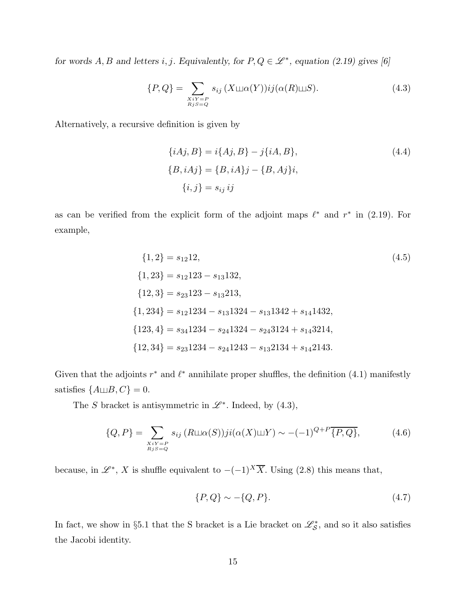for words A, B and letters i, j. Equivalently, for  $P, Q \in \mathcal{L}^*$ , equation (2.19) gives [6]

$$
\{P,Q\} = \sum_{\substack{X:Y=P\\Rj\leq Q}} s_{ij} \left(X \sqcup \alpha(Y)\right) ij(\alpha(R) \sqcup S). \tag{4.3}
$$

Alternatively, a recursive definition is given by

$$
\{iAj, B\} = i\{Aj, B\} - j\{iA, B\},\
$$
  

$$
\{B, iAj\} = \{B, iA\}j - \{B, Aj\}i,
$$
  

$$
\{i, j\} = s_{ij} ij
$$
 (4.4)

as can be verified from the explicit form of the adjoint maps  $\ell^*$  and  $r^*$  in (2.19). For example,

$$
\{1, 2\} = s_{12}12,
$$
\n
$$
\{1, 23\} = s_{12}123 - s_{13}132,
$$
\n
$$
\{12, 3\} = s_{23}123 - s_{13}213,
$$
\n
$$
\{1, 234\} = s_{12}1234 - s_{13}1324 - s_{13}1342 + s_{14}1432,
$$
\n
$$
\{123, 4\} = s_{34}1234 - s_{24}1324 - s_{24}3124 + s_{14}3214,
$$
\n
$$
\{12, 34\} = s_{23}1234 - s_{24}1243 - s_{13}2134 + s_{14}2143.
$$
\n(4.5)

Given that the adjoints  $r^*$  and  $\ell^*$  annihilate proper shuffles, the definition (4.1) manifestly satisfies  $\{A \sqcup B, C\} = 0$ .

The S bracket is antisymmetric in  $\mathscr{L}^*$ . Indeed, by (4.3),

$$
\{Q, P\} = \sum_{\substack{X:Y = P \\ RjS = Q}} s_{ij} (R \sqcup \alpha(S))ji(\alpha(X) \sqcup Y) \sim -(-1)^{Q+P} \overline{\{P, Q\}},
$$
(4.6)

because, in  $\mathscr{L}^*, X$  is shuffle equivalent to  $-(-1)^{X} \overline{X}$ . Using (2.8) this means that,

$$
\{P, Q\} \sim -\{Q, P\}.\tag{4.7}
$$

In fact, we show in §5.1 that the S bracket is a Lie bracket on  $\mathscr{L}_{\mathcal{S}}^{*}$ , and so it also satisfies the Jacobi identity.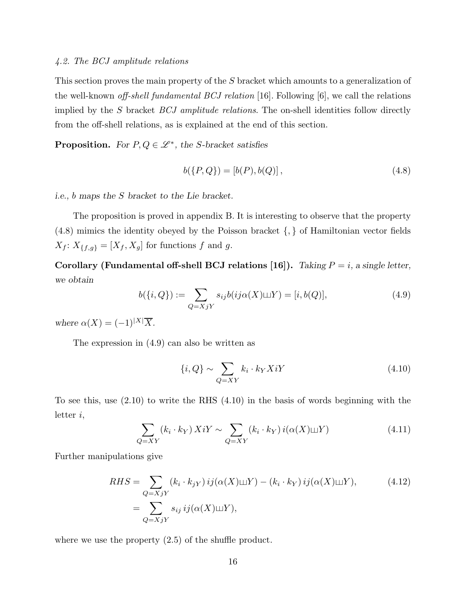## 4.2. The BCJ amplitude relations

This section proves the main property of the S bracket which amounts to a generalization of the well-known off-shell fundamental BCJ relation [16]. Following [6], we call the relations implied by the S bracket  $BCJ$  amplitude relations. The on-shell identities follow directly from the off-shell relations, as is explained at the end of this section.

**Proposition.** For  $P, Q \in \mathcal{L}^*$ , the S-bracket satisfies

$$
b({P,Q}) = [b(P), b(Q)],
$$
\n(4.8)

i.e., b maps the S bracket to the Lie bracket.

The proposition is proved in appendix B. It is interesting to observe that the property (4.8) mimics the identity obeyed by the Poisson bracket {, } of Hamiltonian vector fields  $X_f$ :  $X_{\{f,g\}} = [X_f, X_g]$  for functions  $f$  and  $g$ .

Corollary (Fundamental off-shell BCJ relations [16]). Taking  $P = i$ , a single letter, we obtain

$$
b({i, Q}) := \sum_{Q=XjY} s_{ij} b(ij\alpha(X)\sqcup Y) = [i, b(Q)],
$$
\n(4.9)

where  $\alpha(X) = (-1)^{|X|} \overline{X}$ .

The expression in (4.9) can also be written as

$$
\{i, Q\} \sim \sum_{Q=XY} k_i \cdot k_Y X iY \tag{4.10}
$$

To see this, use (2.10) to write the RHS (4.10) in the basis of words beginning with the letter i,

$$
\sum_{Q=XY} (k_i \cdot k_Y) X iY \sim \sum_{Q=XY} (k_i \cdot k_Y) i(\alpha(X) \sqcup Y) \tag{4.11}
$$

Further manipulations give

$$
RHS = \sum_{Q=XjY} (k_i \cdot k_{jY}) ij(\alpha(X)\sqcup Y) - (k_i \cdot k_Y) ij(\alpha(X)\sqcup Y),
$$
\n
$$
= \sum_{Q=XjY} s_{ij} ij(\alpha(X)\sqcup Y),
$$
\n(4.12)

where we use the property  $(2.5)$  of the shuffle product.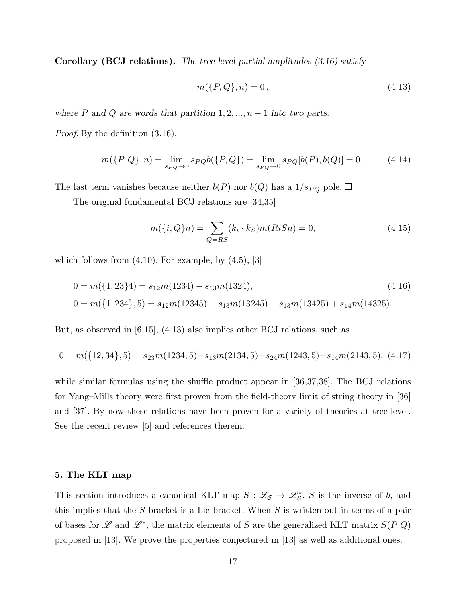Corollary (BCJ relations). The tree-level partial amplitudes (3.16) satisfy

$$
m(\{P,Q\},n) = 0,
$$
\n(4.13)

where  $P$  and  $Q$  are words that partition  $1, 2, ..., n - 1$  into two parts.

Proof. By the definition (3.16),

$$
m(\{P,Q\},n) = \lim_{s_{PQ}\to 0} s_{PQ}b(\{P,Q\}) = \lim_{s_{PQ}\to 0} s_{PQ}[b(P),b(Q)] = 0.
$$
 (4.14)

The last term vanishes because neither  $b(P)$  nor  $b(Q)$  has a  $1/s_{PQ}$  pole.  $\Box$ 

The original fundamental BCJ relations are [34,35]

$$
m(\{i, Q\}n) = \sum_{Q=RS} (k_i \cdot k_S) m(RiSn) = 0,
$$
\n(4.15)

which follows from  $(4.10)$ . For example, by  $(4.5)$ , [3]

$$
0 = m({1, 23}4) = s_{12}m(1234) - s_{13}m(1324),
$$
\n
$$
0 = m({1, 234}, 5) = s_{12}m(12345) - s_{13}m(13245) - s_{13}m(13425) + s_{14}m(14325).
$$
\n(4.16)

But, as observed in [6,15], (4.13) also implies other BCJ relations, such as

$$
0 = m({12,34},5) = s_{23}m(1234,5) - s_{13}m(2134,5) - s_{24}m(1243,5) + s_{14}m(2143,5),
$$
 (4.17)

while similar formulas using the shuffle product appear in [36,37,38]. The BCJ relations for Yang–Mills theory were first proven from the field-theory limit of string theory in [36] and [37]. By now these relations have been proven for a variety of theories at tree-level. See the recent review [5] and references therein.

# 5. The KLT map

This section introduces a canonical KLT map  $S : \mathscr{L}_{\mathcal{S}} \to \mathscr{L}_{\mathcal{S}}^*$ . S is the inverse of b, and this implies that the  $S$ -bracket is a Lie bracket. When  $S$  is written out in terms of a pair of bases for L and L<sup>\*</sup>, the matrix elements of S are the generalized KLT matrix  $S(P|Q)$ proposed in [13]. We prove the properties conjectured in [13] as well as additional ones.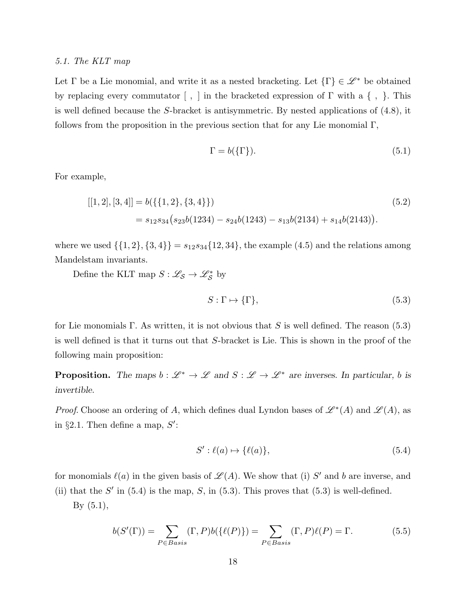#### 5.1. The KLT map

Let  $\Gamma$  be a Lie monomial, and write it as a nested bracketing. Let  $\{\Gamma\} \in \mathscr{L}^*$  be obtained by replacing every commutator  $[ , ]$  in the bracketed expression of  $\Gamma$  with a  $\{ , \}$ . This is well defined because the S-bracket is antisymmetric. By nested applications of (4.8), it follows from the proposition in the previous section that for any Lie monomial  $\Gamma$ ,

$$
\Gamma = b(\{\Gamma\}).\tag{5.1}
$$

For example,

$$
[[1,2],[3,4]] = b(\{\{1,2\},\{3,4\}\})
$$
  
=  $s_{12}s_{34}(s_{23}b(1234) - s_{24}b(1243) - s_{13}b(2134) + s_{14}b(2143)).$  (5.2)

where we used  $\{\{1, 2\}, \{3, 4\}\} = s_{12}s_{34}\{12, 34\}$ , the example (4.5) and the relations among Mandelstam invariants.

Define the KLT map  $S : \mathscr{L}_{\mathcal{S}} \to \mathscr{L}_{\mathcal{S}}^*$  by

$$
S: \Gamma \mapsto \{\Gamma\},\tag{5.3}
$$

for Lie monomials Γ. As written, it is not obvious that S is well defined. The reason  $(5.3)$ is well defined is that it turns out that S-bracket is Lie. This is shown in the proof of the following main proposition:

**Proposition.** The maps  $b: \mathcal{L}^* \to \mathcal{L}$  and  $S: \mathcal{L} \to \mathcal{L}^*$  are inverses. In particular, b is invertible.

*Proof.* Choose an ordering of A, which defines dual Lyndon bases of  $\mathscr{L}^*(A)$  and  $\mathscr{L}(A)$ , as in §2.1. Then define a map,  $S'$ :

$$
S': \ell(a) \mapsto \{\ell(a)\},\tag{5.4}
$$

for monomials  $\ell(a)$  in the given basis of  $\mathscr{L}(A)$ . We show that (i) S' and b are inverse, and (ii) that the  $S'$  in (5.4) is the map,  $S$ , in (5.3). This proves that (5.3) is well-defined.  $By (5.1),$ 

$$
b(S'(\Gamma)) = \sum_{P \in Basis} (\Gamma, P)b(\{\ell(P)\}) = \sum_{P \in Basis} (\Gamma, P)\ell(P) = \Gamma.
$$
 (5.5)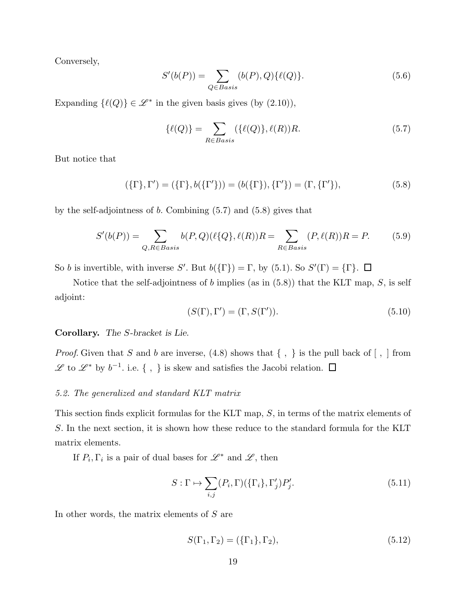Conversely,

$$
S'(b(P)) = \sum_{Q \in Basis} (b(P), Q) \{ \ell(Q) \}.
$$
 (5.6)

Expanding  $\{\ell(Q)\}\in \mathscr{L}^*$  in the given basis gives (by  $(2.10)$ ),

$$
\{\ell(Q)\} = \sum_{R \in Basis} (\{\ell(Q)\}, \ell(R))R. \tag{5.7}
$$

But notice that

$$
(\{\Gamma\}, \Gamma') = (\{\Gamma\}, b(\{\Gamma'\})) = (b(\{\Gamma\}), \{\Gamma'\}) = (\Gamma, \{\Gamma'\}),
$$
\n(5.8)

by the self-adjointness of  $b$ . Combining  $(5.7)$  and  $(5.8)$  gives that

$$
S'(b(P)) = \sum_{Q, R \in Basis} b(P, Q)(\ell\{Q\}, \ell(R))R = \sum_{R \in Basis} (P, \ell(R))R = P.
$$
 (5.9)

So b is invertible, with inverse S'. But  $b({\{\Gamma\}}) = \Gamma$ , by (5.1). So  $S'(\Gamma) = {\{\Gamma\}}$ .

Notice that the self-adjointness of  $b$  implies (as in  $(5.8)$ ) that the KLT map,  $S$ , is self adjoint:

$$
(S(\Gamma), \Gamma') = (\Gamma, S(\Gamma')).
$$
\n
$$
(5.10)
$$

Corollary. The S-bracket is Lie.

*Proof.* Given that S and b are inverse,  $(4.8)$  shows that  $\{ , \}$  is the pull back of  $[ , ]$  from  $\mathscr{L}$  to  $\mathscr{L}^*$  by  $b^{-1}$ . i.e. {, } is skew and satisfies the Jacobi relation.

# 5.2. The generalized and standard KLT matrix

This section finds explicit formulas for the KLT map, S, in terms of the matrix elements of S. In the next section, it is shown how these reduce to the standard formula for the KLT matrix elements.

If  $P_i, \Gamma_i$  is a pair of dual bases for  $\mathscr{L}^*$  and  $\mathscr{L}$ , then

$$
S: \Gamma \mapsto \sum_{i,j} (P_i, \Gamma)(\{\Gamma_i\}, \Gamma'_j) P'_j.
$$
 (5.11)

In other words, the matrix elements of  $S$  are

$$
S(\Gamma_1, \Gamma_2) = (\{\Gamma_1\}, \Gamma_2), \tag{5.12}
$$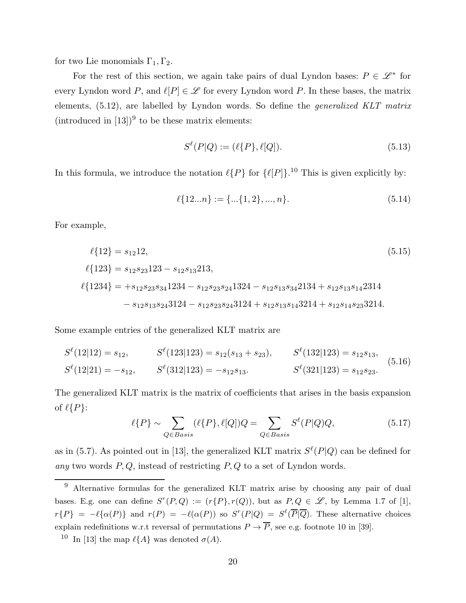for two Lie monomials  $\Gamma_1, \Gamma_2$ .

For the rest of this section, we again take pairs of dual Lyndon bases:  $P \in \mathscr{L}^*$  for every Lyndon word  $P$ , and  $\ell[P] \in \mathscr{L}$  for every Lyndon word  $P$ . In these bases, the matrix elements, (5.12), are labelled by Lyndon words. So define the generalized KLT matrix  $(introduced in [13])<sup>9</sup>$  to be these matrix elements:

$$
S^{\ell}(P|Q) := (\ell\{P\}, \ell[Q]).
$$
\n(5.13)

In this formula, we introduce the notation  $\ell\{P\}$  for  $\{\ell[P]\}$ .<sup>10</sup> This is given explicitly by:

$$
\ell\{12...n\} := \{\dots\{1,2\}, \dots, n\}.\tag{5.14}
$$

For example,

$$
\ell\{12\} = s_{12}12,
$$
\n(5.15)  
\n
$$
\ell\{123\} = s_{12}s_{23}123 - s_{12}s_{13}213,
$$
\n
$$
\ell\{1234\} = +s_{12}s_{23}s_{34}1234 - s_{12}s_{23}s_{24}1324 - s_{12}s_{13}s_{34}2134 + s_{12}s_{13}s_{14}2314 - s_{12}s_{13}s_{24}3124 - s_{12}s_{23}s_{24}3124 + s_{12}s_{13}s_{14}3214 + s_{12}s_{14}s_{23}3214.
$$
\n(5.15)

Some example entries of the generalized KLT matrix are

$$
S^{\ell}(12|12) = s_{12}, \t S^{\ell}(123|123) = s_{12}(s_{13} + s_{23}), \t S^{\ell}(132|123) = s_{12}s_{13},
$$
  

$$
S^{\ell}(12|21) = -s_{12}, \t S^{\ell}(312|123) = -s_{12}s_{13}.
$$
  

$$
S^{\ell}(321|123) = s_{12}s_{23}.
$$
  
(5.16)

The generalized KLT matrix is the matrix of coefficients that arises in the basis expansion of  $\ell\{P\}$ :

$$
\ell\{P\} \sim \sum_{Q \in Basis} (\ell\{P\}, \ell[Q])Q = \sum_{Q \in Basis} S^{\ell}(P|Q)Q, \tag{5.17}
$$

as in (5.7). As pointed out in [13], the generalized KLT matrix  $S^{\ell}(P|Q)$  can be defined for any two words  $P, Q$ , instead of restricting  $P, Q$  to a set of Lyndon words.

<sup>9</sup> Alternative formulas for the generalized KLT matrix arise by choosing any pair of dual bases. E.g. one can define  $S^r(P,Q) := (r\{P\}, r(Q))$ , but as  $P,Q \in \mathscr{L}$ , by Lemma 1.7 of [1],  $r\{P\} = -\ell\{\alpha(P)\}\$ and  $r(P) = -\ell(\alpha(P))$  so  $S^r(P|Q) = S^{\ell}(\overline{P}|\overline{Q})$ . These alternative choices explain redefinitions w.r.t reversal of permutations  $P \to \overline{P}$ , see e.g. footnote 10 in [39].

<sup>&</sup>lt;sup>10</sup> In [13] the map  $\ell\{A\}$  was denoted  $\sigma(A)$ .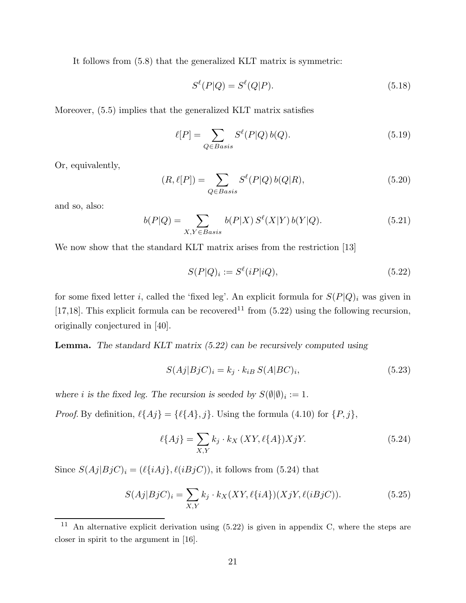It follows from (5.8) that the generalized KLT matrix is symmetric:

$$
S^{\ell}(P|Q) = S^{\ell}(Q|P). \tag{5.18}
$$

Moreover, (5.5) implies that the generalized KLT matrix satisfies

$$
\ell[P] = \sum_{Q \in Basis} S^{\ell}(P|Q) b(Q). \tag{5.19}
$$

Or, equivalently,

$$
(R,\ell[P]) = \sum_{Q \in Basis} S^{\ell}(P|Q) b(Q|R), \qquad (5.20)
$$

and so, also:

$$
b(P|Q) = \sum_{X,Y \in Basis} b(P|X) S^{\ell}(X|Y) b(Y|Q).
$$
 (5.21)

We now show that the standard KLT matrix arises from the restriction [13]

$$
S(P|Q)_i := S^{\ell}(iP|iQ),\tag{5.22}
$$

for some fixed letter *i*, called the 'fixed leg'. An explicit formula for  $S(P|Q)_i$  was given in [17,18]. This explicit formula can be recovered<sup>11</sup> from (5.22) using the following recursion, originally conjectured in [40].

Lemma. The standard KLT matrix (5.22) can be recursively computed using

$$
S(Aj|BjC)_i = k_j \cdot k_{iB} S(A|BC)_i,
$$
\n
$$
(5.23)
$$

where *i* is the fixed leg. The recursion is seeded by  $S(\emptyset|\emptyset)_i := 1$ .

*Proof.* By definition,  $\ell\{Aj\} = \{\ell\{A\}, j\}$ . Using the formula (4.10) for  $\{P, j\}$ ,

$$
\ell\{Aj\} = \sum_{X,Y} k_j \cdot k_X\left(XY, \ell\{A\}\right) X jY. \tag{5.24}
$$

Since  $S(Aj|BjC)_i = (\ell {iAj}, \ell {iBjC}),$  it follows from (5.24) that

$$
S(Aj|BjC)_i = \sum_{X,Y} k_j \cdot k_X(XY, \ell\{iA\}) (XjY, \ell(iBjC)).
$$
\n
$$
(5.25)
$$

<sup>&</sup>lt;sup>11</sup> An alternative explicit derivation using  $(5.22)$  is given in appendix C, where the steps are closer in spirit to the argument in [16].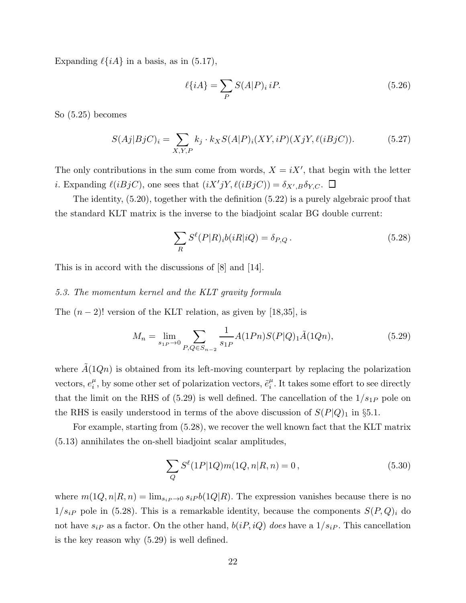Expanding  $\ell\{iA\}$  in a basis, as in (5.17),

$$
\ell\{iA\} = \sum_{P} S(A|P)_i \, iP. \tag{5.26}
$$

So (5.25) becomes

$$
S(Aj|BjC)_i = \sum_{X,Y,P} k_j \cdot k_X S(A|P)_i(XY,iP)(XjY,\ell(iBjC)).
$$
\n(5.27)

The only contributions in the sum come from words,  $X = iX'$ , that begin with the letter *i*. Expanding  $\ell(iBjC)$ , one sees that  $(iX'jY, \ell(iBjC)) = \delta_{X',B}\delta_{Y,C}$ .

The identity, (5.20), together with the definition (5.22) is a purely algebraic proof that the standard KLT matrix is the inverse to the biadjoint scalar BG double current:

$$
\sum_{R} S^{\ell}(P|R)_i b(iR|iQ) = \delta_{P,Q}.
$$
\n(5.28)

This is in accord with the discussions of [8] and [14].

# 5.3. The momentum kernel and the KLT gravity formula

The  $(n-2)!$  version of the KLT relation, as given by [18,35], is

$$
M_n = \lim_{s_{1P} \to 0} \sum_{P,Q \in S_{n-2}} \frac{1}{s_{1P}} A(1Pn)S(P|Q)_{1}\tilde{A}(1Qn), \qquad (5.29)
$$

where  $\tilde{A}(1Qn)$  is obtained from its left-moving counterpart by replacing the polarization vectors,  $e_i^{\mu}$  $_i^{\mu}$ , by some other set of polarization vectors,  $\tilde{e}^{\mu}_i$  $\mu_i^{\mu}$ . It takes some effort to see directly that the limit on the RHS of  $(5.29)$  is well defined. The cancellation of the  $1/s_{1P}$  pole on the RHS is easily understood in terms of the above discussion of  $S(P|Q)$ <sub>1</sub> in §5.1.

For example, starting from (5.28), we recover the well known fact that the KLT matrix (5.13) annihilates the on-shell biadjoint scalar amplitudes,

$$
\sum_{Q} S^{\ell}(1P|1Q)m(1Q, n|R, n) = 0, \qquad (5.30)
$$

where  $m(1Q, n|R, n) = \lim_{s_i \to 0} s_i P b(1Q|R)$ . The expression vanishes because there is no  $1/s_{iP}$  pole in (5.28). This is a remarkable identity, because the components  $S(P,Q)_{i}$  do not have  $s_{iP}$  as a factor. On the other hand,  $b(iP, iQ)$  does have a  $1/s_{iP}$ . This cancellation is the key reason why (5.29) is well defined.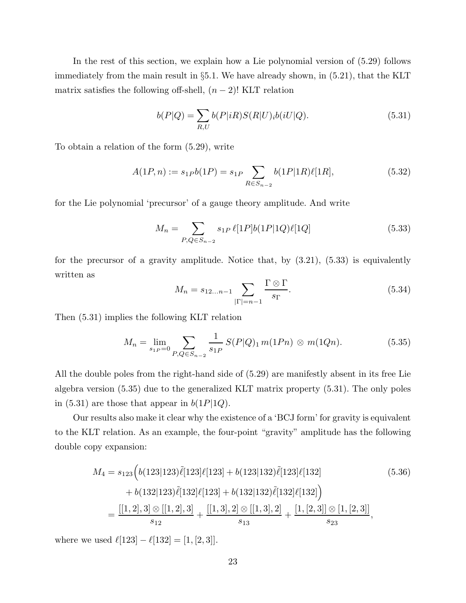In the rest of this section, we explain how a Lie polynomial version of (5.29) follows immediately from the main result in §5.1. We have already shown, in (5.21), that the KLT matrix satisfies the following off-shell,  $(n-2)!$  KLT relation

$$
b(P|Q) = \sum_{R,U} b(P|iR)S(R|U)_i b(iU|Q).
$$
\n(5.31)

To obtain a relation of the form (5.29), write

$$
A(1P,n) := s_{1P}b(1P) = s_{1P} \sum_{R \in S_{n-2}} b(1P|1R)\ell[1R],
$$
\n(5.32)

for the Lie polynomial 'precursor' of a gauge theory amplitude. And write

$$
M_n = \sum_{P,Q \in S_{n-2}} s_{1P} \ell[1P]b(1P|1Q)\ell[1Q] \tag{5.33}
$$

for the precursor of a gravity amplitude. Notice that, by  $(3.21)$ ,  $(5.33)$  is equivalently written as

$$
M_n = s_{12\ldots n-1} \sum_{|\Gamma|=n-1} \frac{\Gamma \otimes \Gamma}{s_{\Gamma}}.
$$
\n(5.34)

Then (5.31) implies the following KLT relation

$$
M_n = \lim_{s_1 \to \infty} \sum_{P,Q \in S_{n-2}} \frac{1}{s_1 P} S(P|Q)_1 m(1 P n) \otimes m(1 Q n). \tag{5.35}
$$

All the double poles from the right-hand side of (5.29) are manifestly absent in its free Lie algebra version (5.35) due to the generalized KLT matrix property (5.31). The only poles in (5.31) are those that appear in  $b(1P|1Q)$ .

Our results also make it clear why the existence of a 'BCJ form' for gravity is equivalent to the KLT relation. As an example, the four-point "gravity" amplitude has the following double copy expansion:

$$
M_4 = s_{123} \Big( b(123|123)\tilde{\ell}[123] \ell[123] + b(123|132)\tilde{\ell}[123] \ell[132] + b(132|123)\tilde{\ell}[132] \ell[123] + b(132|132)\tilde{\ell}[132] \ell[132] \Big)
$$
\n
$$
= \frac{[[1,2],3] \otimes [[1,2],3]}{s_{12}} + \frac{[[1,3],2] \otimes [[1,3],2]}{s_{13}} + \frac{[1,[2,3]] \otimes [1,[2,3]]}{s_{23}},
$$
\n(5.36)

where we used  $\ell[123] - \ell[132] = [1, [2, 3]].$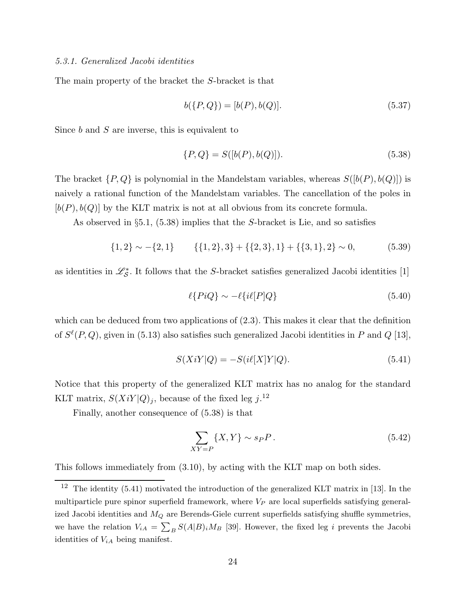The main property of the bracket the S-bracket is that

$$
b({P,Q}) = [b(P), b(Q)].
$$
\n(5.37)

Since  $b$  and  $S$  are inverse, this is equivalent to

$$
\{P, Q\} = S([b(P), b(Q)]). \tag{5.38}
$$

The bracket  $\{P,Q\}$  is polynomial in the Mandelstam variables, whereas  $S([b(P), b(Q)])$  is naively a rational function of the Mandelstam variables. The cancellation of the poles in  $[b(P), b(Q)]$  by the KLT matrix is not at all obvious from its concrete formula.

As observed in  $\S5.1$ ,  $(5.38)$  implies that the S-bracket is Lie, and so satisfies

$$
\{1,2\} \sim -\{2,1\} \qquad \{\{1,2\},3\} + \{\{2,3\},1\} + \{\{3,1\},2\} \sim 0,\tag{5.39}
$$

as identities in  $\mathcal{L}_{\mathcal{S}}^*$ . It follows that the S-bracket satisfies generalized Jacobi identities [1]

$$
\ell\{PiQ\} \sim -\ell\{i\ell[P]Q\} \tag{5.40}
$$

which can be deduced from two applications of  $(2.3)$ . This makes it clear that the definition of  $S^{\ell}(P,Q)$ , given in (5.13) also satisfies such generalized Jacobi identities in P and Q [13],

$$
S(XiY|Q) = -S(i\ell[X]Y|Q). \tag{5.41}
$$

Notice that this property of the generalized KLT matrix has no analog for the standard KLT matrix,  $S(XiY|Q)_j$ , because of the fixed leg  $j$ .<sup>12</sup>

Finally, another consequence of (5.38) is that

$$
\sum_{XY=P} \{X, Y\} \sim s_P P. \tag{5.42}
$$

This follows immediately from (3.10), by acting with the KLT map on both sides.

 $12$  The identity (5.41) motivated the introduction of the generalized KLT matrix in [13]. In the multiparticle pure spinor superfield framework, where  $V_P$  are local superfields satisfying generalized Jacobi identities and  $M_Q$  are Berends-Giele current superfields satisfying shuffle symmetries, we have the relation  $V_{iA} = \sum_{B} S(A|B)_{i} M_{B}$  [39]. However, the fixed leg i prevents the Jacobi identities of  $V_{iA}$  being manifest.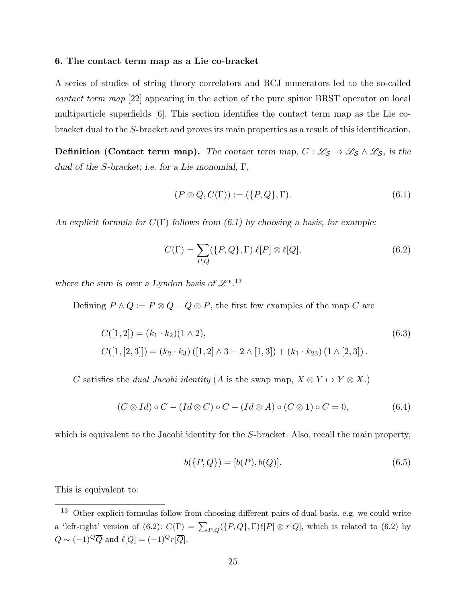#### 6. The contact term map as a Lie co-bracket

A series of studies of string theory correlators and BCJ numerators led to the so-called contact term map [22] appearing in the action of the pure spinor BRST operator on local multiparticle superfields [6]. This section identifies the contact term map as the Lie cobracket dual to the S-bracket and proves its main properties as a result of this identification.

**Definition (Contact term map).** The contact term map,  $C : \mathcal{L}_{S} \to \mathcal{L}_{S} \wedge \mathcal{L}_{S}$ , is the dual of the S-bracket; i.e. for a Lie monomial,  $\Gamma$ ,

$$
(P \otimes Q, C(\Gamma)) := (\{P, Q\}, \Gamma). \tag{6.1}
$$

An explicit formula for  $C(\Gamma)$  follows from (6.1) by choosing a basis, for example:

$$
C(\Gamma) = \sum_{P,Q} (\{P,Q\}, \Gamma) \ell[P] \otimes \ell[Q], \tag{6.2}
$$

where the sum is over a Lyndon basis of  $\mathscr{L}^{*}$ .<sup>13</sup>

Defining  $P \wedge Q := P \otimes Q - Q \otimes P$ , the first few examples of the map C are

$$
C([1,2]) = (k_1 \cdot k_2)(1 \wedge 2),
$$
  
\n
$$
C([1,[2,3]]) = (k_2 \cdot k_3) ([1,2] \wedge 3 + 2 \wedge [1,3]) + (k_1 \cdot k_{23}) (1 \wedge [2,3]).
$$
\n(6.3)

C satisfies the *dual Jacobi identity* (A is the swap map,  $X \otimes Y \mapsto Y \otimes X$ .)

$$
(C \otimes Id) \circ C - (Id \otimes C) \circ C - (Id \otimes A) \circ (C \otimes 1) \circ C = 0,
$$
\n
$$
(6.4)
$$

which is equivalent to the Jacobi identity for the S-bracket. Also, recall the main property,

$$
b({P,Q}) = [b(P), b(Q)].
$$
\n(6.5)

This is equivalent to:

<sup>13</sup> Other explicit formulas follow from choosing different pairs of dual basis. e.g. we could write a 'left-right' version of (6.2):  $C(\Gamma) = \sum_{P,Q} (\{P,Q\}, \Gamma) \ell[P] \otimes r[Q]$ , which is related to (6.2) by  $Q \sim (-1)^Q \overline{Q}$  and  $\ell[Q] = (-1)^Q r[\overline{Q}].$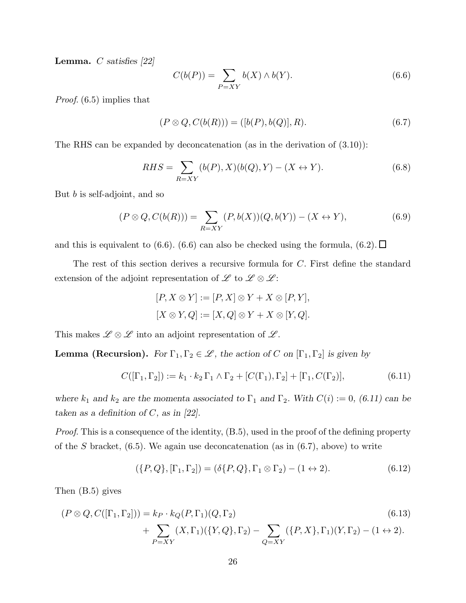**Lemma.**  $C$  satisfies [22]

$$
C(b(P)) = \sum_{P=XY} b(X) \wedge b(Y). \tag{6.6}
$$

Proof.  $(6.5)$  implies that

$$
(P \otimes Q, C(b(R))) = ([b(P), b(Q)], R). \tag{6.7}
$$

The RHS can be expanded by deconcatenation (as in the derivation of (3.10)):

$$
RHS = \sum_{R=XY} (b(P), X)(b(Q), Y) - (X \leftrightarrow Y). \tag{6.8}
$$

But b is self-adjoint, and so

$$
(P \otimes Q, C(b(R))) = \sum_{R=XY} (P, b(X))(Q, b(Y)) - (X \leftrightarrow Y), \tag{6.9}
$$

and this is equivalent to (6.6). (6.6) can also be checked using the formula, (6.2).  $\Box$ 

The rest of this section derives a recursive formula for C. First define the standard extension of the adjoint representation of L to  $\mathscr{L} \otimes \mathscr{L}$ :

$$
[P, X \otimes Y] := [P, X] \otimes Y + X \otimes [P, Y],
$$
  

$$
[X \otimes Y, Q] := [X, Q] \otimes Y + X \otimes [Y, Q].
$$

This makes  $\mathscr{L} \otimes \mathscr{L}$  into an adjoint representation of  $\mathscr{L}$ .

**Lemma (Recursion).** For  $\Gamma_1, \Gamma_2 \in \mathcal{L}$ , the action of C on  $[\Gamma_1, \Gamma_2]$  is given by

$$
C([\Gamma_1, \Gamma_2]) := k_1 \cdot k_2 \Gamma_1 \wedge \Gamma_2 + [C(\Gamma_1), \Gamma_2] + [\Gamma_1, C(\Gamma_2)], \tag{6.11}
$$

where  $k_1$  and  $k_2$  are the momenta associated to  $\Gamma_1$  and  $\Gamma_2$ . With  $C(i) := 0$ , (6.11) can be taken as a definition of  $C$ , as in [22].

Proof. This is a consequence of the identity,  $(B.5)$ , used in the proof of the defining property of the S bracket,  $(6.5)$ . We again use deconcatenation (as in  $(6.7)$ , above) to write

$$
(\{P,Q\},[\Gamma_1,\Gamma_2])=(\delta\{P,Q\},\Gamma_1\otimes\Gamma_2)-(1\leftrightarrow 2). \hspace{1cm} (6.12)
$$

Then (B.5) gives

$$
(P \otimes Q, C([\Gamma_1, \Gamma_2])) = k_P \cdot k_Q(P, \Gamma_1)(Q, \Gamma_2)
$$
  
+ 
$$
\sum_{P=XY} (X, \Gamma_1)(\{Y, Q\}, \Gamma_2) - \sum_{Q=XY} (\{P, X\}, \Gamma_1)(Y, \Gamma_2) - (1 \leftrightarrow 2).
$$
 (6.13)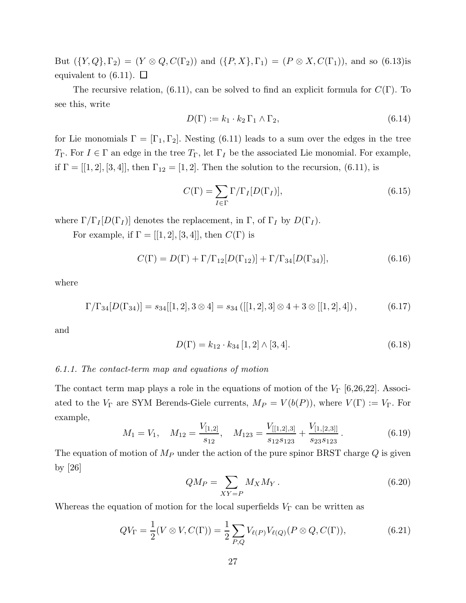But  $({Y,Q},\Gamma_2) = (Y \otimes Q, C(\Gamma_2))$  and  $({P,X},\Gamma_1) = (P \otimes X, C(\Gamma_1))$ , and so (6.13)is equivalent to  $(6.11)$ .  $\Box$ 

The recursive relation, (6.11), can be solved to find an explicit formula for  $C(\Gamma)$ . To see this, write

$$
D(\Gamma) := k_1 \cdot k_2 \Gamma_1 \wedge \Gamma_2,\tag{6.14}
$$

for Lie monomials  $\Gamma = [\Gamma_1, \Gamma_2]$ . Nesting (6.11) leads to a sum over the edges in the tree  $T_{\Gamma}$ . For  $I \in \Gamma$  an edge in the tree  $T_{\Gamma}$ , let  $\Gamma_I$  be the associated Lie monomial. For example, if  $\Gamma = [[1, 2], [3, 4]],$  then  $\Gamma_{12} = [1, 2].$  Then the solution to the recursion, (6.11), is

$$
C(\Gamma) = \sum_{I \in \Gamma} \Gamma / \Gamma_I [D(\Gamma_I)], \qquad (6.15)
$$

where  $\Gamma/\Gamma_I[D(\Gamma_I)]$  denotes the replacement, in  $\Gamma$ , of  $\Gamma_I$  by  $D(\Gamma_I)$ .

For example, if  $\Gamma = [[1, 2], [3, 4]],$  then  $C(\Gamma)$  is

$$
C(\Gamma) = D(\Gamma) + \Gamma/\Gamma_{12}[D(\Gamma_{12})] + \Gamma/\Gamma_{34}[D(\Gamma_{34})], \tag{6.16}
$$

where

$$
\Gamma/\Gamma_{34}[D(\Gamma_{34})] = s_{34}[[1,2],3 \otimes 4] = s_{34} ([[1,2],3] \otimes 4 + 3 \otimes [[1,2],4]), \qquad (6.17)
$$

and

$$
D(\Gamma) = k_{12} \cdot k_{34} [1,2] \wedge [3,4]. \tag{6.18}
$$

# 6.1.1. The contact-term map and equations of motion

The contact term map plays a role in the equations of motion of the  $V_{\Gamma}$  [6,26,22]. Associated to the  $V_{\Gamma}$  are SYM Berends-Giele currents,  $M_P = V(b(P))$ , where  $V(\Gamma) := V_{\Gamma}$ . For example,

$$
M_1 = V_1, \quad M_{12} = \frac{V_{[1,2]}}{s_{12}}, \quad M_{123} = \frac{V_{[[1,2],3]}}{s_{12}s_{123}} + \frac{V_{[1,[2,3]]}}{s_{23}s_{123}}.
$$
(6.19)

The equation of motion of  $M_P$  under the action of the pure spinor BRST charge  $Q$  is given by [26]

$$
QM_P = \sum_{XY=P} M_X M_Y \,. \tag{6.20}
$$

Whereas the equation of motion for the local superfields  $V_{\Gamma}$  can be written as

$$
QV_{\Gamma} = \frac{1}{2}(V \otimes V, C(\Gamma)) = \frac{1}{2} \sum_{P,Q} V_{\ell(P)} V_{\ell(Q)}(P \otimes Q, C(\Gamma)),
$$
\n(6.21)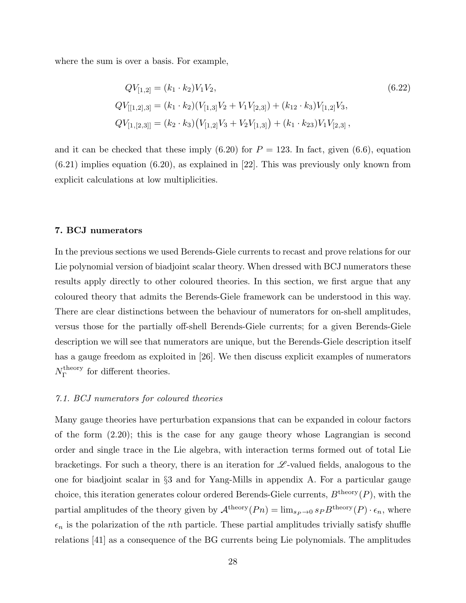where the sum is over a basis. For example,

$$
QV_{[1,2]} = (k_1 \cdot k_2)V_1V_2,
$$
  
\n
$$
QV_{[[1,2],3]} = (k_1 \cdot k_2)(V_{[1,3]}V_2 + V_1V_{[2,3]}) + (k_{12} \cdot k_3)V_{[1,2]}V_3,
$$
  
\n
$$
QV_{[1,[2,3]]} = (k_2 \cdot k_3)(V_{[1,2]}V_3 + V_2V_{[1,3]}) + (k_1 \cdot k_{23})V_1V_{[2,3]},
$$
\n(6.22)

and it can be checked that these imply  $(6.20)$  for  $P = 123$ . In fact, given  $(6.6)$ , equation  $(6.21)$  implies equation  $(6.20)$ , as explained in [22]. This was previously only known from explicit calculations at low multiplicities.

# 7. BCJ numerators

In the previous sections we used Berends-Giele currents to recast and prove relations for our Lie polynomial version of biadjoint scalar theory. When dressed with BCJ numerators these results apply directly to other coloured theories. In this section, we first argue that any coloured theory that admits the Berends-Giele framework can be understood in this way. There are clear distinctions between the behaviour of numerators for on-shell amplitudes, versus those for the partially off-shell Berends-Giele currents; for a given Berends-Giele description we will see that numerators are unique, but the Berends-Giele description itself has a gauge freedom as exploited in [26]. We then discuss explicit examples of numerators  $N_\Gamma^{\rm theory}$  $\Gamma$ <sup>theory</sup> for different theories.

# 7.1. BCJ numerators for coloured theories

Many gauge theories have perturbation expansions that can be expanded in colour factors of the form (2.20); this is the case for any gauge theory whose Lagrangian is second order and single trace in the Lie algebra, with interaction terms formed out of total Lie bracketings. For such a theory, there is an iteration for  $\mathscr{L}\text{-valued fields}$ , analogous to the one for biadjoint scalar in §3 and for Yang-Mills in appendix A. For a particular gauge choice, this iteration generates colour ordered Berends-Giele currents,  $B^{\text{theory}}(P)$ , with the partial amplitudes of the theory given by  $\mathcal{A}^{theory}(P n) = \lim_{s_P \to 0} s_P B^{theory}(P) \cdot \epsilon_n$ , where  $\epsilon_n$  is the polarization of the *n*th particle. These partial amplitudes trivially satisfy shuffle relations [41] as a consequence of the BG currents being Lie polynomials. The amplitudes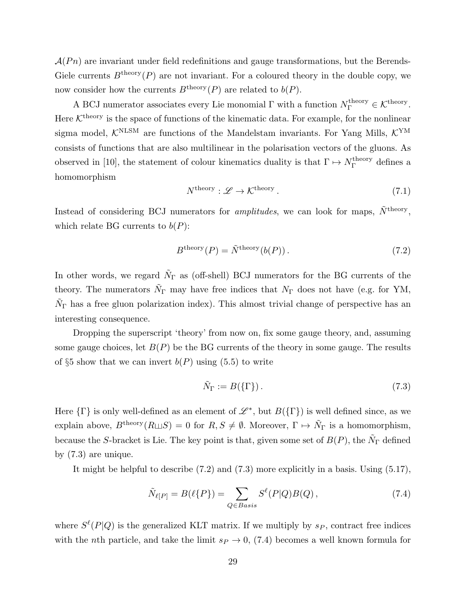$\mathcal{A}(P_n)$  are invariant under field redefinitions and gauge transformations, but the Berends-Giele currents  $B^{\text{theory}}(P)$  are not invariant. For a coloured theory in the double copy, we now consider how the currents  $B^{\text{theory}}(P)$  are related to  $b(P)$ .

A BCJ numerator associates every Lie monomial  $\Gamma$  with a function  $N_{\Gamma}^{\text{theory}} \in \mathcal{K}^{\text{theory}}$ . Here  $K^{\text{theory}}$  is the space of functions of the kinematic data. For example, for the nonlinear sigma model,  $\mathcal{K}^{\text{NLSM}}$  are functions of the Mandelstam invariants. For Yang Mills,  $\mathcal{K}^{\text{YM}}$ consists of functions that are also multilinear in the polarisation vectors of the gluons. As observed in [10], the statement of colour kinematics duality is that  $\Gamma \mapsto N_{\Gamma}^{\text{theory}}$  $\Gamma$ <sup>theory</sup> defines a homomorphism

$$
N^{\text{theory}} : \mathcal{L} \to \mathcal{K}^{\text{theory}}. \tag{7.1}
$$

Instead of considering BCJ numerators for *amplitudes*, we can look for maps,  $\tilde{N}^{\text{theory}}$ , which relate BG currents to  $b(P)$ :

$$
B^{\text{theory}}(P) = \tilde{N}^{\text{theory}}(b(P)).
$$
\n(7.2)

In other words, we regard  $\tilde{N}_{\Gamma}$  as (off-shell) BCJ numerators for the BG currents of the theory. The numerators  $\tilde{N}_{\Gamma}$  may have free indices that  $N_{\Gamma}$  does not have (e.g. for YM,  $\tilde{N}_{\Gamma}$  has a free gluon polarization index). This almost trivial change of perspective has an interesting consequence.

Dropping the superscript 'theory' from now on, fix some gauge theory, and, assuming some gauge choices, let  $B(P)$  be the BG currents of the theory in some gauge. The results of §5 show that we can invert  $b(P)$  using (5.5) to write

$$
\tilde{N}_{\Gamma} := B(\{\Gamma\}).\tag{7.3}
$$

Here  $\{\Gamma\}$  is only well-defined as an element of  $\mathscr{L}^*$ , but  $B(\{\Gamma\})$  is well defined since, as we explain above,  $B^{\text{theory}}(R \sqcup S) = 0$  for  $R, S \neq \emptyset$ . Moreover,  $\Gamma \mapsto \tilde{N}_{\Gamma}$  is a homomorphism, because the S-bracket is Lie. The key point is that, given some set of  $B(P)$ , the  $\tilde{N}_{\Gamma}$  defined by (7.3) are unique.

It might be helpful to describe (7.2) and (7.3) more explicitly in a basis. Using (5.17),

$$
\tilde{N}_{\ell[P]} = B(\ell\{P\}) = \sum_{Q \in Basis} S^{\ell}(P|Q)B(Q), \qquad (7.4)
$$

where  $S^{\ell}(P|Q)$  is the generalized KLT matrix. If we multiply by  $s_P$ , contract free indices with the nth particle, and take the limit  $s_P \to 0$ , (7.4) becomes a well known formula for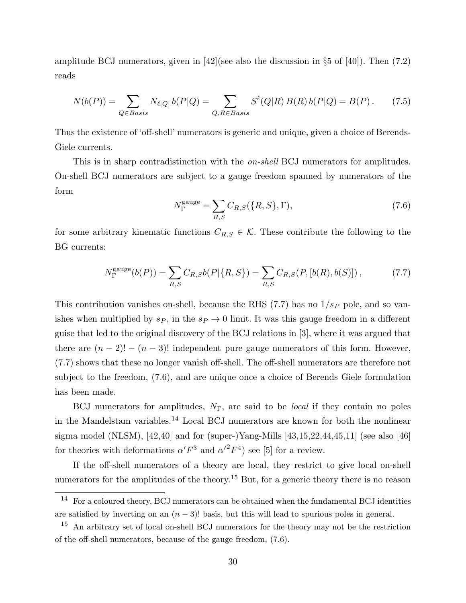amplitude BCJ numerators, given in  $|42|$ (see also the discussion in §5 of  $|40|$ ). Then (7.2) reads

$$
N(b(P)) = \sum_{Q \in Basis} N_{\ell[Q]} b(P|Q) = \sum_{Q, R \in Basis} S^{\ell}(Q|R) B(R) b(P|Q) = B(P). \tag{7.5}
$$

Thus the existence of 'off-shell' numerators is generic and unique, given a choice of Berends-Giele currents.

This is in sharp contradistinction with the *on-shell* BCJ numerators for amplitudes. On-shell BCJ numerators are subject to a gauge freedom spanned by numerators of the form

$$
N_{\Gamma}^{\text{gauge}} = \sum_{R,S} C_{R,S}(\{R,S\}, \Gamma),\tag{7.6}
$$

for some arbitrary kinematic functions  $C_{R,S} \in \mathcal{K}$ . These contribute the following to the BG currents:

$$
N_{\Gamma}^{\text{gauge}}(b(P)) = \sum_{R,S} C_{R,S}b(P|\{R,S\}) = \sum_{R,S} C_{R,S}(P,[b(R),b(S)]),\tag{7.7}
$$

This contribution vanishes on-shell, because the RHS  $(7.7)$  has no  $1/s_p$  pole, and so vanishes when multiplied by  $s_P$ , in the  $s_P \to 0$  limit. It was this gauge freedom in a different guise that led to the original discovery of the BCJ relations in [3], where it was argued that there are  $(n-2)! - (n-3)!$  independent pure gauge numerators of this form. However, (7.7) shows that these no longer vanish off-shell. The off-shell numerators are therefore not subject to the freedom, (7.6), and are unique once a choice of Berends Giele formulation has been made.

BCJ numerators for amplitudes,  $N_{\Gamma}$ , are said to be *local* if they contain no poles in the Mandelstam variables.<sup>14</sup> Local BCJ numerators are known for both the nonlinear sigma model (NLSM),  $[42,40]$  and for (super-)Yang-Mills  $[43,15,22,44,45,11]$  (see also [46] for theories with deformations  $\alpha' F^3$  and  $\alpha'^2 F^4$ ) see [5] for a review.

If the off-shell numerators of a theory are local, they restrict to give local on-shell numerators for the amplitudes of the theory.<sup>15</sup> But, for a generic theory there is no reason

<sup>14</sup> For a coloured theory, BCJ numerators can be obtained when the fundamental BCJ identities are satisfied by inverting on an  $(n-3)!$  basis, but this will lead to spurious poles in general.

<sup>&</sup>lt;sup>15</sup> An arbitrary set of local on-shell BCJ numerators for the theory may not be the restriction of the off-shell numerators, because of the gauge freedom, (7.6).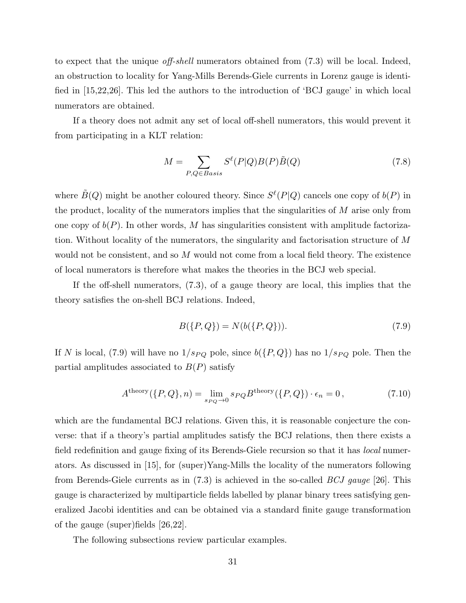to expect that the unique off-shell numerators obtained from (7.3) will be local. Indeed, an obstruction to locality for Yang-Mills Berends-Giele currents in Lorenz gauge is identified in [15,22,26]. This led the authors to the introduction of 'BCJ gauge' in which local numerators are obtained.

If a theory does not admit any set of local off-shell numerators, this would prevent it from participating in a KLT relation:

$$
M = \sum_{P,Q \in Basis} S^{\ell}(P|Q)B(P)\tilde{B}(Q)
$$
\n(7.8)

where  $\tilde{B}(Q)$  might be another coloured theory. Since  $S^{\ell}(P|Q)$  cancels one copy of  $b(P)$  in the product, locality of the numerators implies that the singularities of M arise only from one copy of  $b(P)$ . In other words, M has singularities consistent with amplitude factorization. Without locality of the numerators, the singularity and factorisation structure of M would not be consistent, and so M would not come from a local field theory. The existence of local numerators is therefore what makes the theories in the BCJ web special.

If the off-shell numerators, (7.3), of a gauge theory are local, this implies that the theory satisfies the on-shell BCJ relations. Indeed,

$$
B(\{P,Q\}) = N(b(\{P,Q\})).
$$
\n(7.9)

If N is local, (7.9) will have no  $1/s_{PQ}$  pole, since  $b({P,Q})$  has no  $1/s_{PQ}$  pole. Then the partial amplitudes associated to  $B(P)$  satisfy

$$
Atheory(\{P,Q\},n) = \lim_{s_{PQ}\to 0} s_{PQ} Btheory(\{P,Q\}) \cdot \epsilon_n = 0,
$$
\n(7.10)

which are the fundamental BCJ relations. Given this, it is reasonable conjecture the converse: that if a theory's partial amplitudes satisfy the BCJ relations, then there exists a field redefinition and gauge fixing of its Berends-Giele recursion so that it has *local* numerators. As discussed in [15], for (super)Yang-Mills the locality of the numerators following from Berends-Giele currents as in  $(7.3)$  is achieved in the so-called *BCJ gauge* [26]. This gauge is characterized by multiparticle fields labelled by planar binary trees satisfying generalized Jacobi identities and can be obtained via a standard finite gauge transformation of the gauge (super)fields [26,22].

The following subsections review particular examples.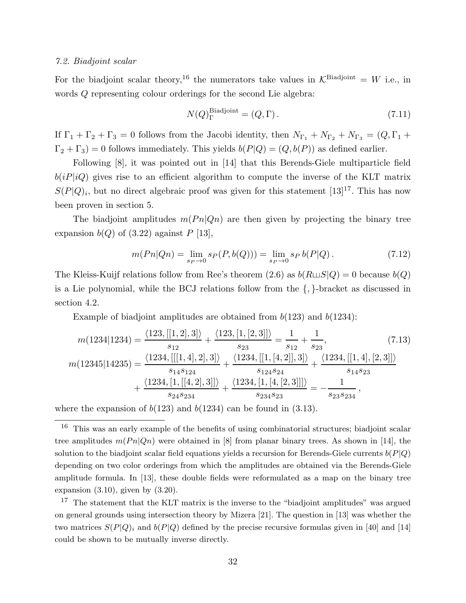## 7.2. Biadjoint scalar

For the biadjoint scalar theory,<sup>16</sup> the numerators take values in  $\mathcal{K}^{\text{Biadjoint}} = W$  i.e., in words Q representing colour orderings for the second Lie algebra:

$$
N(Q)^{\text{Biadjoint}}_{\Gamma} = (Q, \Gamma). \tag{7.11}
$$

If  $\Gamma_1 + \Gamma_2 + \Gamma_3 = 0$  follows from the Jacobi identity, then  $N_{\Gamma_1} + N_{\Gamma_2} + N_{\Gamma_3} = (Q, \Gamma_1 +$  $\Gamma_2 + \Gamma_3$ ) = 0 follows immediately. This yields  $b(P|Q) = (Q, b(P))$  as defined earlier.

Following [8], it was pointed out in [14] that this Berends-Giele multiparticle field  $b(iP|iQ)$  gives rise to an efficient algorithm to compute the inverse of the KLT matrix  $S(P|Q)_i$ , but no direct algebraic proof was given for this statement [13]<sup>17</sup>. This has now been proven in section 5.

The biadjoint amplitudes  $m(Pn|Qn)$  are then given by projecting the binary tree expansion  $b(Q)$  of (3.22) against P [13],

$$
m(Pn|Qn) = \lim_{s_P \to 0} s_P(P, b(Q))) = \lim_{s_P \to 0} s_P b(P|Q).
$$
 (7.12)

The Kleiss-Kuijf relations follow from Ree's theorem (2.6) as  $b(R\sqcup S|Q) = 0$  because  $b(Q)$ is a Lie polynomial, while the BCJ relations follow from the {, }-bracket as discussed in section 4.2.

Example of biadjoint amplitudes are obtained from  $b(123)$  and  $b(1234)$ :

$$
m(1234|1234) = \frac{\langle 123, [[1,2],3] \rangle}{s_{12}} + \frac{\langle 123, [1,[2,3]] \rangle}{s_{23}} = \frac{1}{s_{12}} + \frac{1}{s_{23}},
$$
(7.13)  

$$
m(12345|14235) = \frac{\langle 1234, [[1,4],2],3] \rangle}{s_{14}s_{124}} + \frac{\langle 1234, [[1,[4,2]],3] \rangle}{s_{124}s_{24}} + \frac{\langle 1234, [1,[[4,2],3]] \rangle}{s_{24}s_{234}} + \frac{\langle 1234, [1,[[4,2],3]] \rangle}{s_{234}s_{23}} = -\frac{1}{s_{23}s_{234}},
$$
(7.13)

where the expansion of  $b(123)$  and  $b(1234)$  can be found in (3.13).

<sup>16</sup> This was an early example of the benefits of using combinatorial structures; biadjoint scalar tree amplitudes  $m(Pn|Qn)$  were obtained in [8] from planar binary trees. As shown in [14], the solution to the biadjoint scalar field equations yields a recursion for Berends-Giele currents  $b(P|Q)$ depending on two color orderings from which the amplitudes are obtained via the Berends-Giele amplitude formula. In [13], these double fields were reformulated as a map on the binary tree expansion  $(3.10)$ , given by  $(3.20)$ .

<sup>&</sup>lt;sup>17</sup> The statement that the KLT matrix is the inverse to the "biadjoint amplitudes" was argued on general grounds using intersection theory by Mizera [21]. The question in [13] was whether the two matrices  $S(P|Q)$  and  $b(P|Q)$  defined by the precise recursive formulas given in [40] and [14] could be shown to be mutually inverse directly.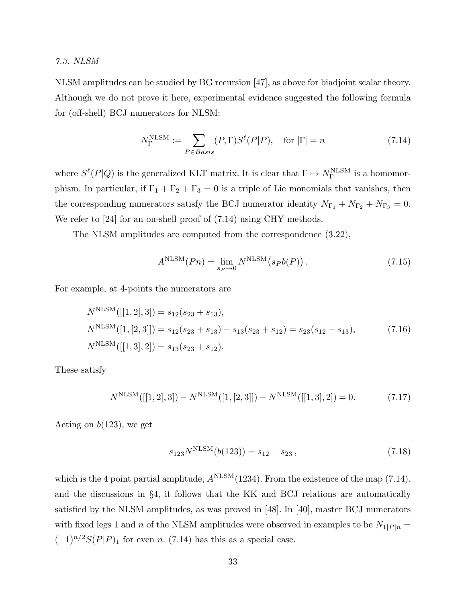## 7.3. NLSM

NLSM amplitudes can be studied by BG recursion [47], as above for biadjoint scalar theory. Although we do not prove it here, experimental evidence suggested the following formula for (off-shell) BCJ numerators for NLSM:

$$
N_{\Gamma}^{\text{NLSM}} := \sum_{P \in Basis} (P, \Gamma) S^{\ell}(P|P), \quad \text{for } |\Gamma| = n \tag{7.14}
$$

where  $S^{\ell}(P|Q)$  is the generalized KLT matrix. It is clear that  $\Gamma \mapsto N_{\Gamma}^{\text{NLSM}}$  is a homomorphism. In particular, if  $\Gamma_1 + \Gamma_2 + \Gamma_3 = 0$  is a triple of Lie monomials that vanishes, then the corresponding numerators satisfy the BCJ numerator identity  $N_{\Gamma_1} + N_{\Gamma_2} + N_{\Gamma_3} = 0$ . We refer to [24] for an on-shell proof of  $(7.14)$  using CHY methods.

The NLSM amplitudes are computed from the correspondence (3.22),

$$
ANLSM(Pn) = \lim_{s_P \to 0} NNLSM(s_P b(P)).
$$
\n(7.15)

For example, at 4-points the numerators are

$$
N^{\text{NLSM}}([[1,2],3]) = s_{12}(s_{23} + s_{13}),
$$
  
\n
$$
N^{\text{NLSM}}([1,[2,3]]) = s_{12}(s_{23} + s_{13}) - s_{13}(s_{23} + s_{12}) = s_{23}(s_{12} - s_{13}),
$$
  
\n
$$
N^{\text{NLSM}}([[1,3],2]) = s_{13}(s_{23} + s_{12}).
$$
\n(7.16)

These satisfy

$$
N^{\text{NLSM}}([[1,2],3]) - N^{\text{NLSM}}([1,[2,3]]) - N^{\text{NLSM}}([[1,3],2]) = 0.
$$
 (7.17)

Acting on  $b(123)$ , we get

$$
s_{123}N^{\text{NLSM}}(b(123)) = s_{12} + s_{23},\tag{7.18}
$$

which is the 4 point partial amplitude,  $A<sup>NLSM</sup>(1234)$ . From the existence of the map (7.14), and the discussions in §4, it follows that the KK and BCJ relations are automatically satisfied by the NLSM amplitudes, as was proved in [48]. In [40], master BCJ numerators with fixed legs 1 and n of the NLSM amplitudes were observed in examples to be  $N_{1\mid P\mid n} =$  $(-1)^{n/2}S(P|P)_1$  for even n. (7.14) has this as a special case.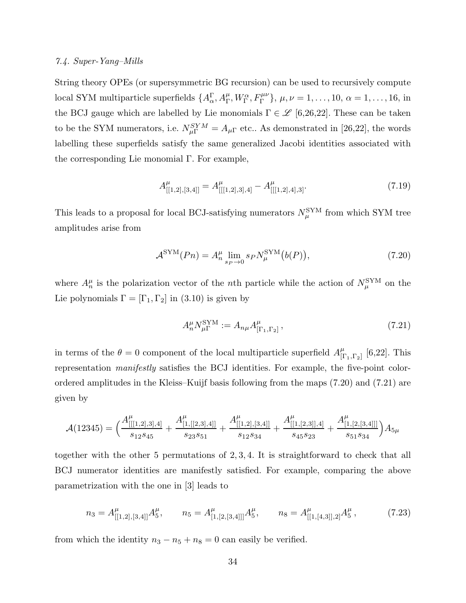## 7.4. Super-Yang–Mills

String theory OPEs (or supersymmetric BG recursion) can be used to recursively compute local SYM multiparticle superfields  $\{A_{\alpha}^{\Gamma}, A_{\Gamma}^{\mu}, W_{\Gamma}^{\alpha}, F_{\Gamma}^{\mu\nu}\}, \mu, \nu = 1, \ldots, 10, \alpha = 1, \ldots, 16, \text{ in }$ the BCJ gauge which are labelled by Lie monomials  $\Gamma \in \mathcal{L}$  [6,26,22]. These can be taken to be the SYM numerators, i.e.  $N_{\mu\Gamma}^{SYM} = A_{\mu\Gamma}$  etc.. As demonstrated in [26,22], the words labelling these superfields satisfy the same generalized Jacobi identities associated with the corresponding Lie monomial Γ. For example,

$$
A_{[[1,2],[3,4]]}^{\mu} = A_{[[[1,2],3],4]}^{\mu} - A_{[[[1,2],4],3]}^{\mu}.
$$
\n(7.19)

This leads to a proposal for local BCJ-satisfying numerators  $N_{\mu}^{\rm SYM}$  from which SYM tree amplitudes arise from

$$
\mathcal{A}^{\text{SYM}}(Pn) = A_n^{\mu} \lim_{s_P \to 0} s_P N_{\mu}^{\text{SYM}}(b(P)), \qquad (7.20)
$$

where  $A_n^{\mu}$  is the polarization vector of the nth particle while the action of  $N_{\mu}^{\text{SYM}}$  on the Lie polynomials  $\Gamma = [\Gamma_1, \Gamma_2]$  in (3.10) is given by

$$
A_n^{\mu} N_{\mu\Gamma}^{\text{SYM}} := A_{n\mu} A_{[\Gamma_1, \Gamma_2]}^{\mu} , \qquad (7.21)
$$

in terms of the  $\theta = 0$  component of the local multiparticle superfield  $A_{\text{tr}}^{\mu}$  $^\mu_{[\Gamma_1,\Gamma_2]}$  [6,22]. This representation manifestly satisfies the BCJ identities. For example, the five-point colorordered amplitudes in the Kleiss–Kuijf basis following from the maps (7.20) and (7.21) are given by

$$
\mathcal{A}(12345)=\Big(\frac{A_{[[[1,2],3],4]}^{\mu}}{s_{12}s_{45}}+\frac{A_{[1,[[2,3],4]]}^{\mu}}{s_{23}s_{51}}+\frac{A_{[[1,2],[3,4]]}^{\mu}}{s_{12}s_{34}}+\frac{A_{[[1,[2,3]],4]}^{\mu}}{s_{45}s_{23}}+\frac{A_{[1,[2,[3,4]]]}^{\mu}}{s_{51}s_{34}}\Big)A_{5\mu}
$$

together with the other 5 permutations of 2, 3, 4. It is straightforward to check that all BCJ numerator identities are manifestly satisfied. For example, comparing the above parametrization with the one in [3] leads to

$$
n_3 = A_{[[1,2],[3,4]]}^{\mu} A_5^{\mu}, \qquad n_5 = A_{[1,[2,[3,4]]]}^{\mu} A_5^{\mu}, \qquad n_8 = A_{[[1,[4,3]],2]}^{\mu} A_5^{\mu}, \tag{7.23}
$$

from which the identity  $n_3 - n_5 + n_8 = 0$  can easily be verified.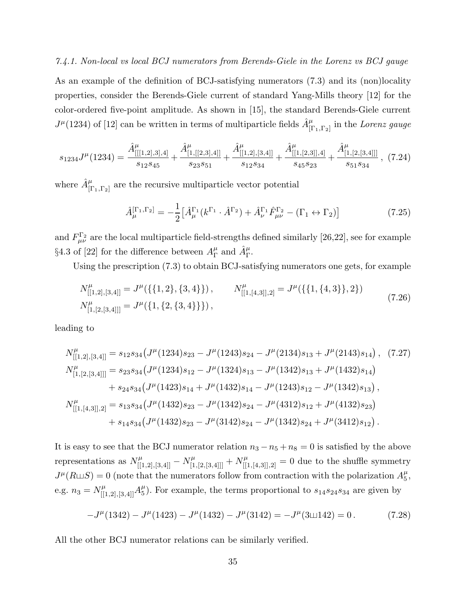## 7.4.1. Non-local vs local BCJ numerators from Berends-Giele in the Lorenz vs BCJ gauge

As an example of the definition of BCJ-satisfying numerators (7.3) and its (non)locality properties, consider the Berends-Giele current of standard Yang-Mills theory [12] for the color-ordered five-point amplitude. As shown in [15], the standard Berends-Giele current  $J^{\mu}(1234)$  of [12] can be written in terms of multiparticle fields  $\hat{A}^{\mu}_{[\Gamma_1,\Gamma_2]}$  in the Lorenz gauge

$$
s_{1234}J^{\mu}(1234) = \frac{\hat{A}_{[[1,2],3],4]}^{\mu}}{s_{12}s_{45}} + \frac{\hat{A}_{[1,[[2,3],4]]}^{\mu}}{s_{23}s_{51}} + \frac{\hat{A}_{[[1,2],[3,4]]}^{\mu}}{s_{12}s_{34}} + \frac{\hat{A}_{[[1,[2,3]],4]}^{\mu}}{s_{45}s_{23}} + \frac{\hat{A}_{[1,[2,[3,4]]]}^{\mu}}{s_{51}s_{34}},
$$
(7.24)

where  $\hat{A}^{\mu}_{[\Gamma_1,\Gamma_2]}$  are the recursive multiparticle vector potential

$$
\hat{A}^{[\Gamma_1,\Gamma_2]}_{\mu} = -\frac{1}{2} \left[ \hat{A}^{\Gamma_1}_{\mu} (k^{\Gamma_1} \cdot \hat{A}^{\Gamma_2}) + \hat{A}^{\Gamma_1}_{\nu} \hat{F}^{\Gamma_2}_{\mu\nu} - (\Gamma_1 \leftrightarrow \Gamma_2) \right]
$$
(7.25)

and  $F_{\mu\nu}^{\Gamma_2}$  are the local multiparticle field-strengths defined similarly [26,22], see for example §4.3 of [22] for the difference between  $A_{\Gamma}^{\mu}$  $^{\mu}_{\Gamma}$  and  $\hat{A}^{\mu}_{\Gamma}$ .

Using the prescription (7.3) to obtain BCJ-satisfying numerators one gets, for example

$$
N_{[[1,2],[3,4]]}^{\mu} = J^{\mu}(\{\{1,2\},\{3,4\}\}), \qquad N_{[[1,[4,3]],2]}^{\mu} = J^{\mu}(\{\{1,\{4,3\}\},2\})
$$
  
\n
$$
N_{[1,[2,[3,4]]]}^{\mu} = J^{\mu}(\{1,\{2,\{3,4\}\}\}),
$$
\n(7.26)

leading to

$$
N_{[[1,2],[3,4]]}^{\mu} = s_{12}s_{34}\left(J^{\mu}(1234)s_{23} - J^{\mu}(1243)s_{24} - J^{\mu}(2134)s_{13} + J^{\mu}(2143)s_{14}\right), (7.27)
$$
  
\n
$$
N_{[1,[2,[3,4]]]}^{\mu} = s_{23}s_{34}\left(J^{\mu}(1234)s_{12} - J^{\mu}(1324)s_{13} - J^{\mu}(1342)s_{13} + J^{\mu}(1432)s_{14}\right)
$$
\n
$$
+ s_{24}s_{34}\left(J^{\mu}(1423)s_{14} + J^{\mu}(1432)s_{14} - J^{\mu}(1243)s_{12} - J^{\mu}(1342)s_{13}\right),
$$
\n
$$
N_{[[1,[4,3]],2]}^{\mu} = s_{13}s_{34}\left(J^{\mu}(1432)s_{23} - J^{\mu}(1342)s_{24} - J^{\mu}(4312)s_{12} + J^{\mu}(4132)s_{23}\right)
$$
\n
$$
+ s_{14}s_{34}\left(J^{\mu}(1432)s_{23} - J^{\mu}(3142)s_{24} - J^{\mu}(1342)s_{24} + J^{\mu}(3412)s_{12}\right).
$$
\n(7.27)

It is easy to see that the BCJ numerator relation  $n_3 - n_5 + n_8 = 0$  is satisfied by the above representations as  $N_{[[1,2],[3,4]]}^{\mu} - N_{[1,[2,[3,4]]]}^{\mu} + N_{[[1,[4,3]],2]}^{\mu} = 0$  due to the shuffle symmetry  $J^{\mu}(R \sqcup S) = 0$  (note that the numerators follow from contraction with the polarization  $A_5^{\mu}$  $\frac{\mu}{5}$ e.g.  $n_3 = N_{[[1,2],[3,4]]}^{\mu} A_5^{\mu}$  $_{5}^{\mu}$ ). For example, the terms proportional to  $s_{14}s_{24}s_{34}$  are given by

$$
-J^{\mu}(1342) - J^{\mu}(1423) - J^{\mu}(1432) - J^{\mu}(3142) = -J^{\mu}(3 \sqcup 142) = 0.
$$
 (7.28)

All the other BCJ numerator relations can be similarly verified.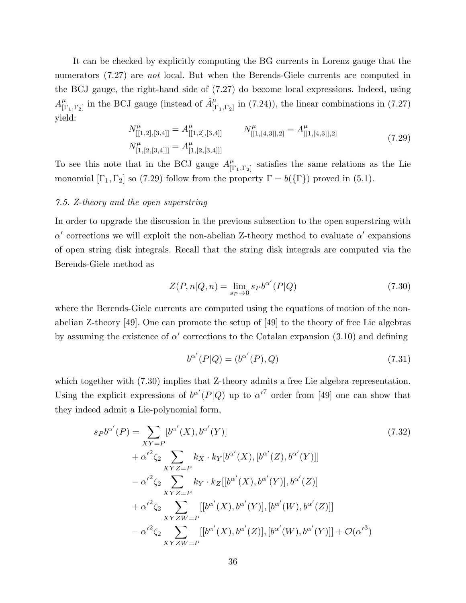It can be checked by explicitly computing the BG currents in Lorenz gauge that the numerators (7.27) are *not* local. But when the Berends-Giele currents are computed in the BCJ gauge, the right-hand side of (7.27) do become local expressions. Indeed, using  $A^\mu_{\rm II}$  $_{[\Gamma_1,\Gamma_2]}^{\mu}$  in the BCJ gauge (instead of  $\hat{A}^{\mu}_{[\Gamma_1,\Gamma_2]}$  in (7.24)), the linear combinations in (7.27) yield:

$$
N_{[[1,2],[3,4]]}^{\mu} = A_{[[1,2],[3,4]]}^{\mu} \qquad N_{[[1,[4,3]],2]}^{\mu} = A_{[[1,[4,3]],2]}^{\mu}
$$
  
\n
$$
N_{[1,[2,[3,4]]]}^{\mu} = A_{[1,[2,[3,4]]}^{\mu}
$$
\n(7.29)

To see this note that in the BCJ gauge  $A_{\text{II}}^{\mu}$  $_{\left[\Gamma_1,\Gamma_2\right]}^{\mu}$  satisfies the same relations as the Lie monomial  $[\Gamma_1, \Gamma_2]$  so (7.29) follow from the property  $\Gamma = b({\{\Gamma\}})$  proved in (5.1).

# 7.5. Z-theory and the open superstring

In order to upgrade the discussion in the previous subsection to the open superstring with  $\alpha'$  corrections we will exploit the non-abelian Z-theory method to evaluate  $\alpha'$  expansions of open string disk integrals. Recall that the string disk integrals are computed via the Berends-Giele method as

$$
Z(P,n|Q,n) = \lim_{s_P \to 0} s_P b^{\alpha'}(P|Q)
$$
\n(7.30)

where the Berends-Giele currents are computed using the equations of motion of the nonabelian Z-theory [49]. One can promote the setup of [49] to the theory of free Lie algebras by assuming the existence of  $\alpha'$  corrections to the Catalan expansion (3.10) and defining

$$
b^{\alpha'}(P|Q) = (b^{\alpha'}(P), Q)
$$
\n(7.31)

which together with  $(7.30)$  implies that Z-theory admits a free Lie algebra representation. Using the explicit expressions of  $b^{\alpha'}(P|Q)$  up to  ${\alpha'}^7$  order from [49] one can show that they indeed admit a Lie-polynomial form,

$$
s_P b^{\alpha'}(P) = \sum_{XY=P} [b^{\alpha'}(X), b^{\alpha'}(Y)]
$$
  
\n
$$
+ {\alpha'}^2 \zeta_2 \sum_{XYZ=P} k_X \cdot k_Y [b^{\alpha'}(X), [b^{\alpha'}(Z), b^{\alpha'}(Y)]]
$$
  
\n
$$
- {\alpha'}^2 \zeta_2 \sum_{XYZ=P} k_Y \cdot k_Z [[b^{\alpha'}(X), b^{\alpha'}(Y)], b^{\alpha'}(Z)]
$$
  
\n
$$
+ {\alpha'}^2 \zeta_2 \sum_{XYZW=P} [[b^{\alpha'}(X), b^{\alpha'}(Y)], [b^{\alpha'}(W), b^{\alpha'}(Z)]]
$$
  
\n
$$
- {\alpha'}^2 \zeta_2 \sum_{XYZW=P} [[b^{\alpha'}(X), b^{\alpha'}(Z)], [b^{\alpha'}(W), b^{\alpha'}(Y)]] + \mathcal{O}({\alpha'}^3)
$$
\n(7.32)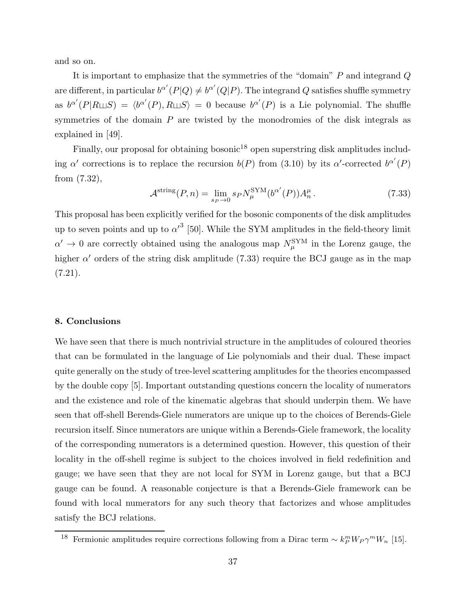and so on.

It is important to emphasize that the symmetries of the "domain" P and integrand Q are different, in particular  $b^{\alpha'}(P|Q) \neq b^{\alpha'}(Q|P)$ . The integrand Q satisfies shuffle symmetry as  $b^{\alpha'}(P|R\sqcup S) = \langle b^{\alpha'}(P), R\sqcup S \rangle = 0$  because  $b^{\alpha'}(P)$  is a Lie polynomial. The shuffle symmetries of the domain  $P$  are twisted by the monodromies of the disk integrals as explained in [49].

Finally, our proposal for obtaining bosonic<sup>18</sup> open superstring disk amplitudes including  $\alpha'$  corrections is to replace the recursion  $b(P)$  from (3.10) by its  $\alpha'$ -corrected  $b^{\alpha'}(P)$ from (7.32),

$$
\mathcal{A}^{\text{string}}(P,n) = \lim_{s_P \to 0} s_P N_\mu^{\text{SYM}}(b^{\alpha'}(P)) A_n^\mu. \tag{7.33}
$$

This proposal has been explicitly verified for the bosonic components of the disk amplitudes up to seven points and up to  $\alpha'^3$  [50]. While the SYM amplitudes in the field-theory limit  $\alpha' \to 0$  are correctly obtained using the analogous map  $N_\mu^{\rm SYM}$  in the Lorenz gauge, the higher  $\alpha'$  orders of the string disk amplitude (7.33) require the BCJ gauge as in the map  $(7.21).$ 

# 8. Conclusions

We have seen that there is much nontrivial structure in the amplitudes of coloured theories that can be formulated in the language of Lie polynomials and their dual. These impact quite generally on the study of tree-level scattering amplitudes for the theories encompassed by the double copy [5]. Important outstanding questions concern the locality of numerators and the existence and role of the kinematic algebras that should underpin them. We have seen that off-shell Berends-Giele numerators are unique up to the choices of Berends-Giele recursion itself. Since numerators are unique within a Berends-Giele framework, the locality of the corresponding numerators is a determined question. However, this question of their locality in the off-shell regime is subject to the choices involved in field redefinition and gauge; we have seen that they are not local for SYM in Lorenz gauge, but that a BCJ gauge can be found. A reasonable conjecture is that a Berends-Giele framework can be found with local numerators for any such theory that factorizes and whose amplitudes satisfy the BCJ relations.

<sup>&</sup>lt;sup>18</sup> Fermionic amplitudes require corrections following from a Dirac term  $\sim k_P^m W_P \gamma^m W_n$  [15].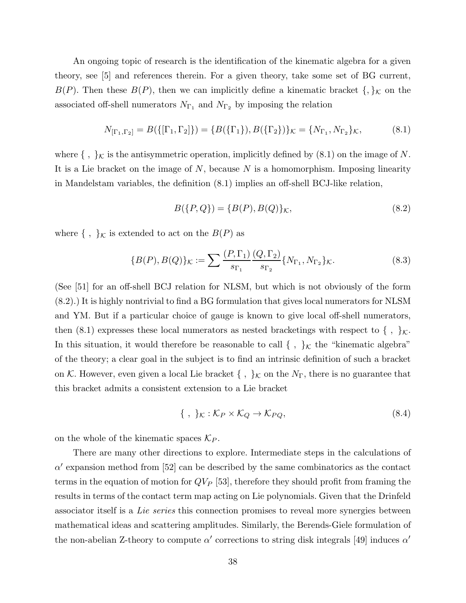An ongoing topic of research is the identification of the kinematic algebra for a given theory, see [5] and references therein. For a given theory, take some set of BG current,  $B(P)$ . Then these  $B(P)$ , then we can implicitly define a kinematic bracket  $\{\, ,\}_K$  on the associated off-shell numerators  $N_{\Gamma_1}$  and  $N_{\Gamma_2}$  by imposing the relation

$$
N_{[\Gamma_1,\Gamma_2]} = B(\{[\Gamma_1,\Gamma_2]\}) = \{B(\{\Gamma_1\}), B(\{\Gamma_2\})\}_\mathcal{K} = \{N_{\Gamma_1}, N_{\Gamma_2}\}_\mathcal{K},\tag{8.1}
$$

where  $\{\ ,\ \}_\mathcal{K}$  is the antisymmetric operation, implicitly defined by  $(8.1)$  on the image of  $N$ . It is a Lie bracket on the image of  $N$ , because  $N$  is a homomorphism. Imposing linearity in Mandelstam variables, the definition (8.1) implies an off-shell BCJ-like relation,

$$
B(\{P,Q\}) = \{B(P), B(Q)\}_{\mathcal{K}},\tag{8.2}
$$

where  $\{\, ,\, \}_{\mathcal{K}}$  is extended to act on the  $B(P)$  as

$$
\{B(P), B(Q)\}_{\mathcal{K}} := \sum \frac{(P, \Gamma_1)}{s_{\Gamma_1}} \frac{(Q, \Gamma_2)}{s_{\Gamma_2}} \{N_{\Gamma_1}, N_{\Gamma_2}\}_{\mathcal{K}}.
$$
 (8.3)

(See [51] for an off-shell BCJ relation for NLSM, but which is not obviously of the form (8.2).) It is highly nontrivial to find a BG formulation that gives local numerators for NLSM and YM. But if a particular choice of gauge is known to give local off-shell numerators, then (8.1) expresses these local numerators as nested bracketings with respect to  $\{\ ,\ \}_{\mathcal{K}}$ . In this situation, it would therefore be reasonable to call { , } $\kappa$  the "kinematic algebra" of the theory; a clear goal in the subject is to find an intrinsic definition of such a bracket on K. However, even given a local Lie bracket  $\{\ ,\ \}_{\mathcal{K}}$  on the  $N_{\Gamma}$ , there is no guarantee that this bracket admits a consistent extension to a Lie bracket

$$
\{\,\,,\,\,\}_{\mathcal{K}}:\mathcal{K}_P\times\mathcal{K}_Q\to\mathcal{K}_{PQ},\tag{8.4}
$$

on the whole of the kinematic spaces  $\mathcal{K}_P$ .

There are many other directions to explore. Intermediate steps in the calculations of  $\alpha'$  expansion method from [52] can be described by the same combinatorics as the contact terms in the equation of motion for  $QV_P$  [53], therefore they should profit from framing the results in terms of the contact term map acting on Lie polynomials. Given that the Drinfeld associator itself is a Lie series this connection promises to reveal more synergies between mathematical ideas and scattering amplitudes. Similarly, the Berends-Giele formulation of the non-abelian Z-theory to compute  $\alpha'$  corrections to string disk integrals [49] induces  $\alpha'$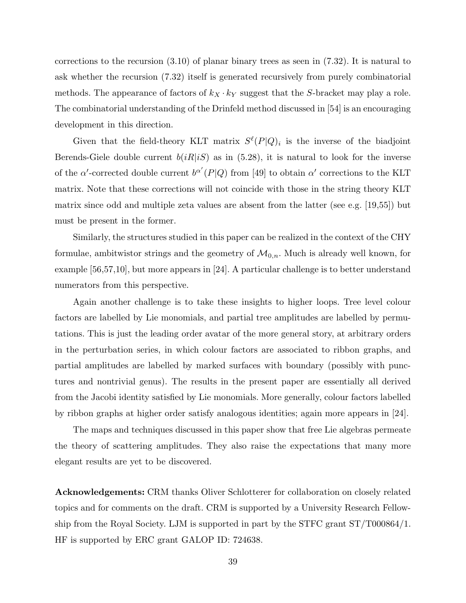corrections to the recursion (3.10) of planar binary trees as seen in (7.32). It is natural to ask whether the recursion (7.32) itself is generated recursively from purely combinatorial methods. The appearance of factors of  $k_X \cdot k_Y$  suggest that the S-bracket may play a role. The combinatorial understanding of the Drinfeld method discussed in [54] is an encouraging development in this direction.

Given that the field-theory KLT matrix  $S^{\ell}(P|Q)$  is the inverse of the biadjoint Berends-Giele double current  $b(iR|iS)$  as in (5.28), it is natural to look for the inverse of the  $\alpha'$ -corrected double current  $b^{\alpha'}(P|Q)$  from [49] to obtain  $\alpha'$  corrections to the KLT matrix. Note that these corrections will not coincide with those in the string theory KLT matrix since odd and multiple zeta values are absent from the latter (see e.g. [19,55]) but must be present in the former.

Similarly, the structures studied in this paper can be realized in the context of the CHY formulae, ambitwistor strings and the geometry of  $\mathcal{M}_{0,n}$ . Much is already well known, for example [56,57,10], but more appears in [24]. A particular challenge is to better understand numerators from this perspective.

Again another challenge is to take these insights to higher loops. Tree level colour factors are labelled by Lie monomials, and partial tree amplitudes are labelled by permutations. This is just the leading order avatar of the more general story, at arbitrary orders in the perturbation series, in which colour factors are associated to ribbon graphs, and partial amplitudes are labelled by marked surfaces with boundary (possibly with punctures and nontrivial genus). The results in the present paper are essentially all derived from the Jacobi identity satisfied by Lie monomials. More generally, colour factors labelled by ribbon graphs at higher order satisfy analogous identities; again more appears in [24].

The maps and techniques discussed in this paper show that free Lie algebras permeate the theory of scattering amplitudes. They also raise the expectations that many more elegant results are yet to be discovered.

Acknowledgements: CRM thanks Oliver Schlotterer for collaboration on closely related topics and for comments on the draft. CRM is supported by a University Research Fellowship from the Royal Society. LJM is supported in part by the STFC grant ST/T000864/1. HF is supported by ERC grant GALOP ID: 724638.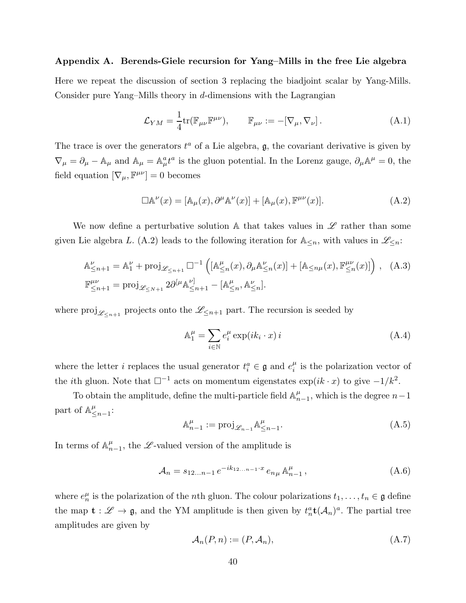## Appendix A. Berends-Giele recursion for Yang–Mills in the free Lie algebra

Here we repeat the discussion of section 3 replacing the biadjoint scalar by Yang-Mills. Consider pure Yang–Mills theory in  $d$ -dimensions with the Lagrangian

$$
\mathcal{L}_{YM} = \frac{1}{4} \text{tr}(\mathbb{F}_{\mu\nu} \mathbb{F}^{\mu\nu}), \qquad \mathbb{F}_{\mu\nu} := -[\nabla_{\mu}, \nabla_{\nu}]. \tag{A.1}
$$

The trace is over the generators  $t^a$  of a Lie algebra,  $\mathfrak{g}$ , the covariant derivative is given by  $\nabla_{\mu} = \partial_{\mu} - A_{\mu}$  and  $A_{\mu} = A_{\mu}^{a} t^{a}$  is the gluon potential. In the Lorenz gauge,  $\partial_{\mu} A^{\mu} = 0$ , the field equation  $[\nabla_{\mu}, \mathbb{F}^{\mu\nu}] = 0$  becomes

$$
\Box \mathbb{A}^{\nu}(x) = [\mathbb{A}_{\mu}(x), \partial^{\mu} \mathbb{A}^{\nu}(x)] + [\mathbb{A}_{\mu}(x), \mathbb{F}^{\mu\nu}(x)]. \tag{A.2}
$$

We now define a perturbative solution A that takes values in  $\mathscr L$  rather than some given Lie algebra L. (A.2) leads to the following iteration for  $\mathbb{A}_{\leq n}$ , with values in  $\mathscr{L}_{\leq n}$ :

$$
\mathbb{A}_{\leq n+1}^{\nu} = \mathbb{A}_1^{\nu} + \text{proj}_{\mathscr{L}_{\leq n+1}} \square^{-1} \left( [\mathbb{A}_{\leq n}^{\mu}(x), \partial_{\mu} \mathbb{A}_{\leq n}^{\nu}(x)] + [\mathbb{A}_{\leq n\mu}(x), \mathbb{F}_{\leq n}^{\mu\nu}(x)] \right), \quad (A.3)
$$
  

$$
\mathbb{F}_{\leq n+1}^{\mu\nu} = \text{proj}_{\mathscr{L}_{\leq N+1}} 2\partial^{[\mu} \mathbb{A}_{\leq n+1}^{\nu]} - [\mathbb{A}_{\leq n}^{\mu}, \mathbb{A}_{\leq n}^{\nu}].
$$

where  $proj_{\mathscr{L}_{\leq n+1}}$  projects onto the  $\mathscr{L}_{\leq n+1}$  part. The recursion is seeded by

$$
\mathbb{A}_1^{\mu} = \sum_{i \in \mathbb{N}} e_i^{\mu} \exp(ik_i \cdot x) i \tag{A.4}
$$

where the letter *i* replaces the usual generator  $t_i^a \in \mathfrak{g}$  and  $e_i^{\mu}$  $\frac{\mu}{i}$  is the polarization vector of the *i*th gluon. Note that  $\square^{-1}$  acts on momentum eigenstates  $\exp(ik \cdot x)$  to give  $-1/k^2$ .

To obtain the amplitude, define the multi-particle field  $\mathbb{A}_n^{\mu}$  $_{n-1}^{\mu}$ , which is the degree  $n-1$ part of  $\mathbb{A}^{\mu}_{\leq}$  $\frac{\mu}{\leq}n-1$ 

$$
\mathbb{A}_{n-1}^{\mu} := \text{proj}_{\mathscr{L}_{n-1}} \mathbb{A}_{\leq n-1}^{\mu}.
$$
\n(A.5)

In terms of  $\mathbb{A}_n^{\mu}$  $_{n-1}^{\mu}$ , the L-valued version of the amplitude is

$$
\mathcal{A}_n = s_{12...n-1} e^{-ik_{12...n-1} \cdot x} e_{n\mu} \mathbb{A}_{n-1}^{\mu}, \qquad (A.6)
$$

where  $e_n^{\mu}$  is the polarization of the *n*th gluon. The colour polarizations  $t_1, \ldots, t_n \in \mathfrak{g}$  define the map  $\mathbf{t} : \mathscr{L} \to \mathfrak{g}$ , and the YM amplitude is then given by  $t_n^a \mathbf{t}(\mathcal{A}_n)^a$ . The partial tree amplitudes are given by

$$
\mathcal{A}_n(P,n) := (P, \mathcal{A}_n),\tag{A.7}
$$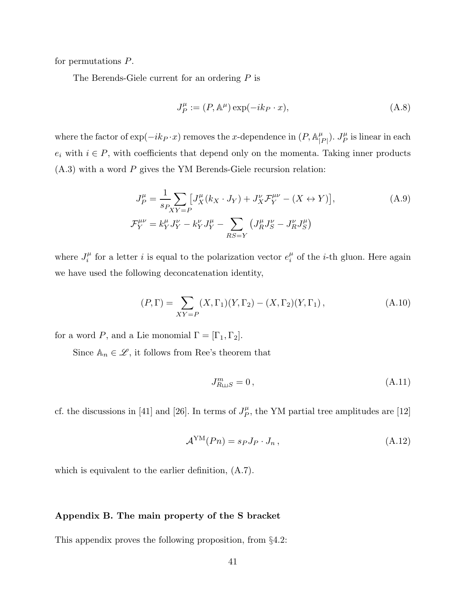for permutations P.

The Berends-Giele current for an ordering P is

$$
J_P^{\mu} := (P, \mathbb{A}^{\mu}) \exp(-ik_P \cdot x), \tag{A.8}
$$

where the factor of  $\exp(-ik_P \cdot x)$  removes the x-dependence in  $(P, \mathbb{A}_{\perp}^{\mu})$  $\frac{\mu}{|P|}$ ).  $J_P^{\mu}$  $P_P^{\mu}$  is linear in each  $e_i$  with  $i \in P$ , with coefficients that depend only on the momenta. Taking inner products  $(A.3)$  with a word P gives the YM Berends-Giele recursion relation:

$$
J_P^{\mu} = \frac{1}{s_P} \sum_{XY=P} \left[ J_X^{\mu} (k_X \cdot J_Y) + J_X^{\nu} \mathcal{F}_Y^{\mu \nu} - (X \leftrightarrow Y) \right],
$$
\n
$$
\mathcal{F}_Y^{\mu \nu} = k_Y^{\mu} J_Y^{\nu} - k_Y^{\nu} J_Y^{\mu} - \sum_{RS=Y} \left( J_R^{\mu} J_S^{\nu} - J_R^{\nu} J_S^{\mu} \right)
$$
\n(A.9)

where  $J_i^{\mu}$  $\hat{f}_i^{\mu}$  for a letter *i* is equal to the polarization vector  $e_i^{\mu}$  $\frac{\mu}{i}$  of the *i*-th gluon. Here again we have used the following deconcatenation identity,

$$
(P,\Gamma) = \sum_{XY=P} (X,\Gamma_1)(Y,\Gamma_2) - (X,\Gamma_2)(Y,\Gamma_1),
$$
 (A.10)

for a word P, and a Lie monomial  $\Gamma = [\Gamma_1, \Gamma_2]$ .

Since  $\mathbb{A}_n \in \mathscr{L}$ , it follows from Ree's theorem that

$$
J^m_{R \sqcup S} = 0, \qquad (A.11)
$$

cf. the discussions in [41] and [26]. In terms of  $J_P^{\mu}$  $P_P^{\mu}$ , the YM partial tree amplitudes are [12]

$$
\mathcal{A}^{\text{YM}}(Pn) = s_P J_P \cdot J_n \,, \tag{A.12}
$$

which is equivalent to the earlier definition, (A.7).

# Appendix B. The main property of the S bracket

This appendix proves the following proposition, from §4.2: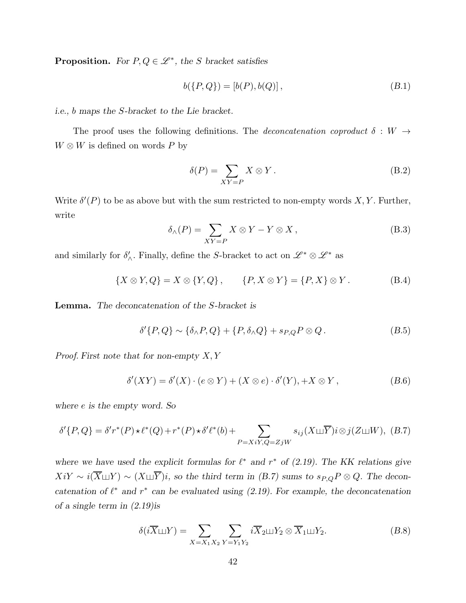**Proposition.** For  $P, Q \in \mathcal{L}^*$ , the S bracket satisfies

$$
b({P,Q}) = [b(P), b(Q)], \qquad (B.1)
$$

i.e., b maps the S-bracket to the Lie bracket.

The proof uses the following definitions. The *deconcatenation coproduct*  $\delta : W \rightarrow$  $W \otimes W$  is defined on words P by

$$
\delta(P) = \sum_{XY = P} X \otimes Y. \tag{B.2}
$$

Write  $\delta'(P)$  to be as above but with the sum restricted to non-empty words X, Y. Further, write

$$
\delta_{\wedge}(P) = \sum_{XY = P} X \otimes Y - Y \otimes X, \qquad (B.3)
$$

and similarly for  $\delta'_{\wedge}$ . Finally, define the S-bracket to act on  $\mathscr{L}^* \otimes \mathscr{L}^*$  as

$$
\{X \otimes Y, Q\} = X \otimes \{Y, Q\}, \qquad \{P, X \otimes Y\} = \{P, X\} \otimes Y. \tag{B.4}
$$

Lemma. The deconcatenation of the S-bracket is

$$
\delta'\{P,Q\} \sim \{\delta_{\wedge}P,Q\} + \{P,\delta_{\wedge}Q\} + s_{P,Q}P \otimes Q. \tag{B.5}
$$

*Proof.* First note that for non-empty  $X, Y$ 

$$
\delta'(XY) = \delta'(X) \cdot (e \otimes Y) + (X \otimes e) \cdot \delta'(Y), +X \otimes Y,
$$
\n(B.6)

where e is the empty word. So

$$
\delta'\{P,Q\} = \delta'r^*(P) \star \ell^*(Q) + r^*(P) \star \delta'\ell^*(b) + \sum_{P=XiY,Q=ZjW} s_{ij}(X \sqcup \overline{Y})i \otimes j(Z \sqcup W), \ (B.7)
$$

where we have used the explicit formulas for  $\ell^*$  and  $r^*$  of (2.19). The KK relations give  $Xi'Y \sim i(\overline{X} \sqcup Y) \sim (X \sqcup \overline{Y})i$ , so the third term in (B.7) sums to  $s_{P,Q}P \otimes Q$ . The deconcatenation of  $\ell^*$  and  $r^*$  can be evaluated using (2.19). For example, the deconcatenation of a single term in (2.19)is

$$
\delta(i\overline{X}\sqcup Y) = \sum_{X=X_1X_2} \sum_{Y=Y_1Y_2} i\overline{X}_2 \sqcup Y_2 \otimes \overline{X}_1 \sqcup Y_2. \tag{B.8}
$$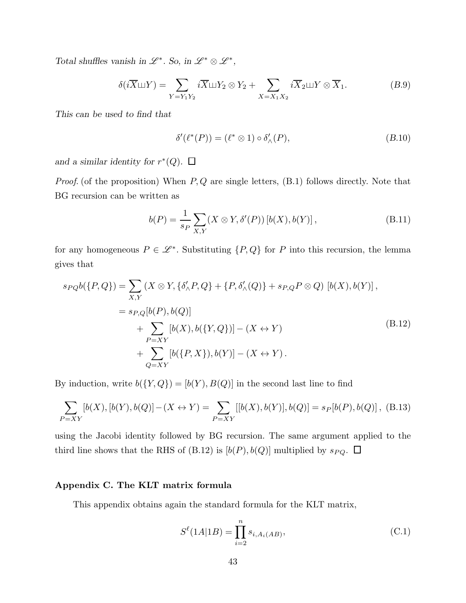Total shuffles vanish in  $\mathscr{L}^*$ . So, in  $\mathscr{L}^* \otimes \mathscr{L}^*$ ,

$$
\delta(i\overline{X}\sqcup Y) = \sum_{Y=Y_1Y_2} i\overline{X}\sqcup Y_2 \otimes Y_2 + \sum_{X=X_1X_2} i\overline{X}_2\sqcup Y \otimes \overline{X}_1. \tag{B.9}
$$

This can be used to find that

$$
\delta'(\ell^*(P)) = (\ell^* \otimes 1) \circ \delta'_{\wedge}(P), \tag{B.10}
$$

and a similar identity for  $r^*(Q)$ .

*Proof.* (of the proposition) When  $P$ ,  $Q$  are single letters,  $(B.1)$  follows directly. Note that BG recursion can be written as

$$
b(P) = \frac{1}{s_P} \sum_{X,Y} (X \otimes Y, \delta'(P)) [b(X), b(Y)],
$$
 (B.11)

for any homogeneous  $P \in \mathcal{L}^*$ . Substituting  $\{P, Q\}$  for P into this recursion, the lemma gives that

$$
s_{PQ}b(\{P,Q\}) = \sum_{X,Y} (X \otimes Y, \{\delta'_{\land}P,Q\} + \{P,\delta'_{\land}(Q)\} + s_{P,Q}P \otimes Q) [b(X),b(Y)],
$$
  
=  $s_{P,Q}[b(P),b(Q)]$   
+ 
$$
\sum_{P=XY} [b(X),b(\{Y,Q\})] - (X \leftrightarrow Y)
$$
  
+ 
$$
\sum_{Q=XY} [b(\{P,X\}),b(Y)] - (X \leftrightarrow Y).
$$
 (B.12)

By induction, write  $b(\{Y,Q\})=[b(Y),B(Q)]$  in the second last line to find

$$
\sum_{P=XY} [b(X), [b(Y), b(Q)] - (X \leftrightarrow Y) = \sum_{P=XY} [[b(X), b(Y)], b(Q)] = s_P[b(P), b(Q)], \text{ (B.13)}
$$

using the Jacobi identity followed by BG recursion. The same argument applied to the third line shows that the RHS of (B.12) is  $[b(P), b(Q)]$  multiplied by  $s_{PQ}$ .  $\Box$ 

# Appendix C. The KLT matrix formula

This appendix obtains again the standard formula for the KLT matrix,

$$
S^{\ell}(1A|1B) = \prod_{i=2}^{n} s_{i, A_i(AB)},
$$
\n(C.1)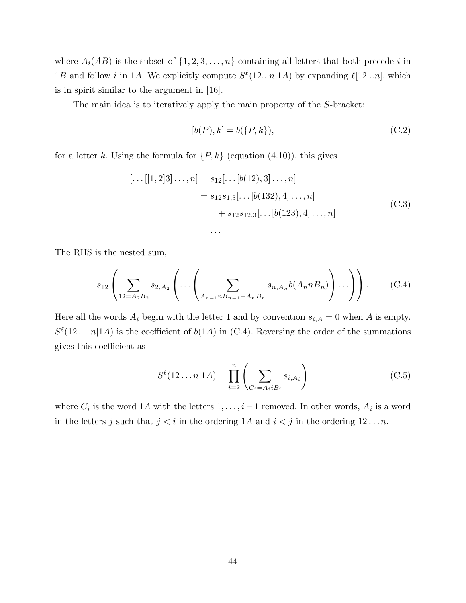where  $A_i(AB)$  is the subset of  $\{1, 2, 3, \ldots, n\}$  containing all letters that both precede i in 1B and follow *i* in 1A. We explicitly compute  $S^{\ell}(12...n|1A)$  by expanding  $\ell[12...n]$ , which is in spirit similar to the argument in [16].

The main idea is to iteratively apply the main property of the S-bracket:

$$
[b(P), k] = b({P, k}),
$$
\n(C.2)

for a letter k. Using the formula for  $\{P, k\}$  (equation  $(4.10)$ ), this gives

$$
[\dots[[1,2]3]\dots, n] = s_{12}[\dots[b(12),3]\dots, n]
$$
  
=  $s_{12}s_{1,3}[\dots[b(132),4]\dots, n]$   
+  $s_{12}s_{12,3}[\dots[b(123),4]\dots, n]$   
= ... (C.3)

The RHS is the nested sum,

$$
s_{12}\left(\sum_{12=A_2B_2}s_{2,A_2}\left(\cdots\left(\sum_{A_{n-1}B_{n-1}-A_nB_n}s_{n,A_n}b(A_nnB_n)\right)\cdots\right)\right).
$$
 (C.4)

Here all the words  $A_i$  begin with the letter 1 and by convention  $s_{i,A} = 0$  when A is empty.  $S^{\ell}(12...n|1A)$  is the coefficient of  $b(1A)$  in (C.4). Reversing the order of the summations gives this coefficient as

$$
S^{\ell}(12...n|1A) = \prod_{i=2}^{n} \left(\sum_{C_i = A_i i B_i} s_{i, A_i}\right)
$$
 (C.5)

where  $C_i$  is the word 1A with the letters  $1, \ldots, i-1$  removed. In other words,  $A_i$  is a word in the letters j such that  $j < i$  in the ordering 1A and  $i < j$  in the ordering 12... n.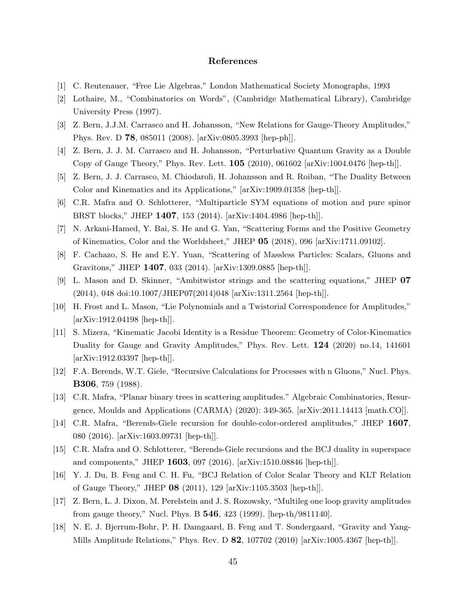# References

- [1] C. Reutenauer, "Free Lie Algebras," London Mathematical Society Monographs, 1993
- [2] Lothaire, M., "Combinatorics on Words", (Cambridge Mathematical Library), Cambridge University Press (1997).
- [3] Z. Bern, J.J.M. Carrasco and H. Johansson, "New Relations for Gauge-Theory Amplitudes," Phys. Rev. D 78, 085011 (2008). [arXiv:0805.3993 [hep-ph]].
- [4] Z. Bern, J. J. M. Carrasco and H. Johansson, "Perturbative Quantum Gravity as a Double Copy of Gauge Theory," Phys. Rev. Lett. 105 (2010), 061602 [arXiv:1004.0476 [hep-th]].
- [5] Z. Bern, J. J. Carrasco, M. Chiodaroli, H. Johansson and R. Roiban, "The Duality Between Color and Kinematics and its Applications," [arXiv:1909.01358 [hep-th]].
- [6] C.R. Mafra and O. Schlotterer, "Multiparticle SYM equations of motion and pure spinor BRST blocks," JHEP 1407, 153 (2014). [arXiv:1404.4986 [hep-th]].
- [7] N. Arkani-Hamed, Y. Bai, S. He and G. Yan, "Scattering Forms and the Positive Geometry of Kinematics, Color and the Worldsheet," JHEP 05 (2018), 096 [arXiv:1711.09102].
- [8] F. Cachazo, S. He and E.Y. Yuan, "Scattering of Massless Particles: Scalars, Gluons and Gravitons," JHEP 1407, 033 (2014). [arXiv:1309.0885 [hep-th]].
- [9] L. Mason and D. Skinner, "Ambitwistor strings and the scattering equations," JHEP 07 (2014), 048 doi:10.1007/JHEP07(2014)048 [arXiv:1311.2564 [hep-th]].
- [10] H. Frost and L. Mason, "Lie Polynomials and a Twistorial Correspondence for Amplitudes," [arXiv:1912.04198 [hep-th]].
- [11] S. Mizera, "Kinematic Jacobi Identity is a Residue Theorem: Geometry of Color-Kinematics Duality for Gauge and Gravity Amplitudes," Phys. Rev. Lett. 124 (2020) no.14, 141601 [arXiv:1912.03397 [hep-th]].
- [12] F.A. Berends, W.T. Giele, "Recursive Calculations for Processes with n Gluons," Nucl. Phys. B306, 759 (1988).
- [13] C.R. Mafra, "Planar binary trees in scattering amplitudes." Algebraic Combinatorics, Resurgence, Moulds and Applications (CARMA) (2020): 349-365. [arXiv:2011.14413 [math.CO]].
- [14] C.R. Mafra, "Berends-Giele recursion for double-color-ordered amplitudes," JHEP 1607, 080 (2016). [arXiv:1603.09731 [hep-th]].
- [15] C.R. Mafra and O. Schlotterer, "Berends-Giele recursions and the BCJ duality in superspace and components," JHEP 1603, 097 (2016). [arXiv:1510.08846 [hep-th]].
- [16] Y. J. Du, B. Feng and C. H. Fu, "BCJ Relation of Color Scalar Theory and KLT Relation of Gauge Theory," JHEP 08 (2011), 129 [arXiv:1105.3503 [hep-th]].
- [17] Z. Bern, L. J. Dixon, M. Perelstein and J. S. Rozowsky, "Multileg one loop gravity amplitudes from gauge theory," Nucl. Phys. B **546**, 423 (1999). [hep-th/9811140].
- [18] N. E. J. Bjerrum-Bohr, P. H. Damgaard, B. Feng and T. Sondergaard, "Gravity and Yang-Mills Amplitude Relations," Phys. Rev. D 82, 107702 (2010) [arXiv:1005.4367 [hep-th]].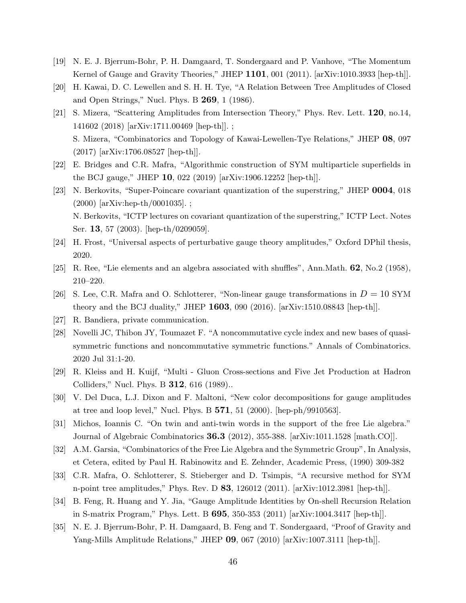- [19] N. E. J. Bjerrum-Bohr, P. H. Damgaard, T. Sondergaard and P. Vanhove, "The Momentum Kernel of Gauge and Gravity Theories," JHEP  $1101$ , 001 (2011). [arXiv:1010.3933 [hep-th]].
- [20] H. Kawai, D. C. Lewellen and S. H. H. Tye, "A Relation Between Tree Amplitudes of Closed and Open Strings," Nucl. Phys. B 269, 1 (1986).
- [21] S. Mizera, "Scattering Amplitudes from Intersection Theory," Phys. Rev. Lett. 120, no.14, 141602 (2018) [arXiv:1711.00469 [hep-th]]. ; S. Mizera, "Combinatorics and Topology of Kawai-Lewellen-Tye Relations," JHEP 08, 097 (2017) [arXiv:1706.08527 [hep-th]].
- [22] E. Bridges and C.R. Mafra, "Algorithmic construction of SYM multiparticle superfields in the BCJ gauge," JHEP 10, 022 (2019) [arXiv:1906.12252 [hep-th]].
- [23] N. Berkovits, "Super-Poincare covariant quantization of the superstring," JHEP 0004, 018 (2000) [arXiv:hep-th/0001035]. ; N. Berkovits, "ICTP lectures on covariant quantization of the superstring," ICTP Lect. Notes Ser. 13, 57 (2003). [hep-th/0209059].
- [24] H. Frost, "Universal aspects of perturbative gauge theory amplitudes," Oxford DPhil thesis, 2020.
- [25] R. Ree, "Lie elements and an algebra associated with shuffles", Ann.Math. 62, No.2 (1958), 210–220.
- [26] S. Lee, C.R. Mafra and O. Schlotterer, "Non-linear gauge transformations in  $D = 10$  SYM theory and the BCJ duality," JHEP  $1603$ , 090 (2016). [arXiv:1510.08843 [hep-th]].
- [27] R. Bandiera, private communication.
- [28] Novelli JC, Thibon JY, Toumazet F. "A noncommutative cycle index and new bases of quasisymmetric functions and noncommutative symmetric functions." Annals of Combinatorics. 2020 Jul 31:1-20.
- [29] R. Kleiss and H. Kuijf, "Multi Gluon Cross-sections and Five Jet Production at Hadron Colliders," Nucl. Phys. B 312, 616 (1989)..
- [30] V. Del Duca, L.J. Dixon and F. Maltoni, "New color decompositions for gauge amplitudes at tree and loop level," Nucl. Phys. B  $571$ , 51 (2000). [hep-ph/9910563].
- [31] Michos, Ioannis C. "On twin and anti-twin words in the support of the free Lie algebra." Journal of Algebraic Combinatorics 36.3 (2012), 355-388. [arXiv:1011.1528 [math.CO]].
- [32] A.M. Garsia, "Combinatorics of the Free Lie Algebra and the Symmetric Group", In Analysis, et Cetera, edited by Paul H. Rabinowitz and E. Zehnder, Academic Press, (1990) 309-382
- [33] C.R. Mafra, O. Schlotterer, S. Stieberger and D. Tsimpis, "A recursive method for SYM n-point tree amplitudes," Phys. Rev. D 83, 126012 (2011). [arXiv:1012.3981 [hep-th]].
- [34] B. Feng, R. Huang and Y. Jia, "Gauge Amplitude Identities by On-shell Recursion Relation in S-matrix Program," Phys. Lett. B 695, 350-353 (2011) [arXiv:1004.3417 [hep-th]].
- [35] N. E. J. Bjerrum-Bohr, P. H. Damgaard, B. Feng and T. Sondergaard, "Proof of Gravity and Yang-Mills Amplitude Relations," JHEP 09, 067 (2010) [arXiv:1007.3111 [hep-th]].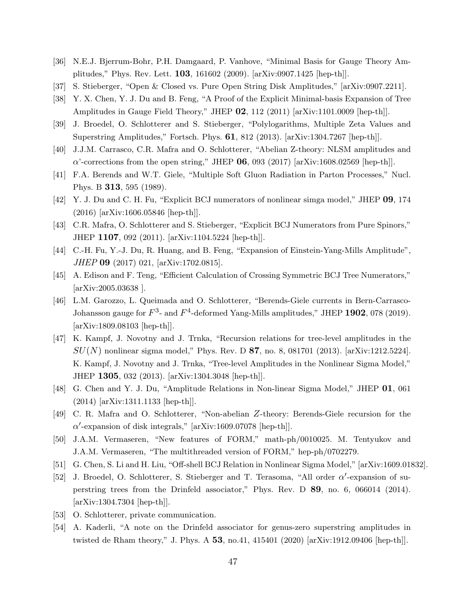- [36] N.E.J. Bjerrum-Bohr, P.H. Damgaard, P. Vanhove, "Minimal Basis for Gauge Theory Amplitudes," Phys. Rev. Lett. 103, 161602 (2009). [arXiv:0907.1425 [hep-th]].
- [37] S. Stieberger, "Open & Closed vs. Pure Open String Disk Amplitudes," [arXiv:0907.2211].
- [38] Y. X. Chen, Y. J. Du and B. Feng, "A Proof of the Explicit Minimal-basis Expansion of Tree Amplitudes in Gauge Field Theory," JHEP  $\overline{02}$ , 112 (2011) [arXiv:1101.0009 [hep-th]].
- [39] J. Broedel, O. Schlotterer and S. Stieberger, "Polylogarithms, Multiple Zeta Values and Superstring Amplitudes," Fortsch. Phys. 61, 812 (2013). [arXiv:1304.7267 [hep-th]].
- [40] J.J.M. Carrasco, C.R. Mafra and O. Schlotterer, "Abelian Z-theory: NLSM amplitudes and  $\alpha'$ -corrections from the open string," JHEP 06, 093 (2017) [arXiv:1608.02569 [hep-th]].
- [41] F.A. Berends and W.T. Giele, "Multiple Soft Gluon Radiation in Parton Processes," Nucl. Phys. B 313, 595 (1989).
- [42] Y. J. Du and C. H. Fu, "Explicit BCJ numerators of nonlinear simga model," JHEP 09, 174 (2016) [arXiv:1606.05846 [hep-th]].
- [43] C.R. Mafra, O. Schlotterer and S. Stieberger, "Explicit BCJ Numerators from Pure Spinors," JHEP 1107, 092 (2011). [arXiv:1104.5224 [hep-th]].
- [44] C.-H. Fu, Y.-J. Du, R. Huang, and B. Feng, "Expansion of Einstein-Yang-Mills Amplitude", JHEP 09 (2017) 021, [arXiv:1702.0815].
- [45] A. Edison and F. Teng, "Efficient Calculation of Crossing Symmetric BCJ Tree Numerators," [arXiv:2005.03638 ].
- [46] L.M. Garozzo, L. Queimada and O. Schlotterer, "Berends-Giele currents in Bern-Carrasco-Johansson gauge for  $F^3$ - and  $F^4$ -deformed Yang-Mills amplitudes," JHEP 1902, 078 (2019). [arXiv:1809.08103 [hep-th]].
- [47] K. Kampf, J. Novotny and J. Trnka, "Recursion relations for tree-level amplitudes in the  $SU(N)$  nonlinear sigma model," Phys. Rev. D 87, no. 8, 081701 (2013). [arXiv:1212.5224]. K. Kampf, J. Novotny and J. Trnka, "Tree-level Amplitudes in the Nonlinear Sigma Model," JHEP 1305, 032 (2013). [arXiv:1304.3048 [hep-th]].
- [48] G. Chen and Y. J. Du, "Amplitude Relations in Non-linear Sigma Model," JHEP 01, 061 (2014) [arXiv:1311.1133 [hep-th]].
- [49] C. R. Mafra and O. Schlotterer, "Non-abelian Z-theory: Berends-Giele recursion for the  $\alpha'$ -expansion of disk integrals," [arXiv:1609.07078 [hep-th]].
- [50] J.A.M. Vermaseren, "New features of FORM," math-ph/0010025. M. Tentyukov and J.A.M. Vermaseren, "The multithreaded version of FORM," hep-ph/0702279.
- [51] G. Chen, S. Li and H. Liu, "Off-shell BCJ Relation in Nonlinear Sigma Model," [arXiv:1609.01832].
- [52] J. Broedel, O. Schlotterer, S. Stieberger and T. Terasoma, "All order  $\alpha'$ -expansion of superstring trees from the Drinfeld associator," Phys. Rev. D 89, no. 6, 066014 (2014). [arXiv:1304.7304 [hep-th]].
- [53] O. Schlotterer, private communication.
- [54] A. Kaderli, "A note on the Drinfeld associator for genus-zero superstring amplitudes in twisted de Rham theory," J. Phys. A 53, no.41, 415401 (2020) [arXiv:1912.09406 [hep-th]].